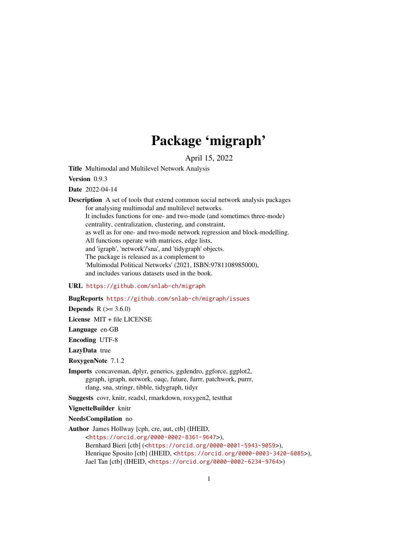# Package 'migraph'

April 15, 2022

Title Multimodal and Multilevel Network Analysis

Version 0.9.3

Date 2022-04-14

Description A set of tools that extend common social network analysis packages for analysing multimodal and multilevel networks. It includes functions for one- and two-mode (and sometimes three-mode) centrality, centralization, clustering, and constraint, as well as for one- and two-mode network regression and block-modelling. All functions operate with matrices, edge lists, and 'igraph', 'network'/'sna', and 'tidygraph' objects. The package is released as a complement to 'Multimodal Political Networks' (2021, ISBN:9781108985000), and includes various datasets used in the book.

#### URL <https://github.com/snlab-ch/migraph>

# BugReports <https://github.com/snlab-ch/migraph/issues>

**Depends**  $R (= 3.6.0)$ 

License MIT + file LICENSE

Language en-GB

Encoding UTF-8

LazyData true

RoxygenNote 7.1.2

Imports concaveman, dplyr, generics, ggdendro, ggforce, ggplot2, ggraph, igraph, network, oaqc, future, furrr, patchwork, purrr, rlang, sna, stringr, tibble, tidygraph, tidyr

Suggests covr, knitr, readxl, rmarkdown, roxygen2, testthat

VignetteBuilder knitr

NeedsCompilation no

Author James Hollway [cph, cre, aut, ctb] (IHEID,

<<https://orcid.org/0000-0002-8361-9647>>), Bernhard Bieri [ctb] (<<https://orcid.org/0000-0001-5943-9059>>), Henrique Sposito [ctb] (IHEID, <<https://orcid.org/0000-0003-3420-6085>>), Jael Tan [ctb] (IHEID, <<https://orcid.org/0000-0002-6234-9764>>)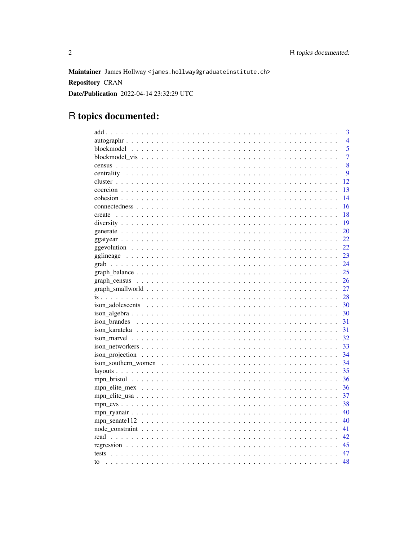Maintainer James Hollway <james.hollway@graduateinstitute.ch> **Repository CRAN** Date/Publication 2022-04-14 23:32:29 UTC

# R topics documented:

|        | 3              |
|--------|----------------|
|        | $\overline{4}$ |
|        | 5              |
|        | $\overline{7}$ |
|        | 8              |
|        | 9              |
|        | 12             |
|        | 13             |
|        | 14             |
|        | 16             |
| create | 18             |
|        | 19             |
|        | 20             |
|        | 22             |
|        | 22             |
|        | 23             |
|        | 24             |
|        | 25             |
|        | 26             |
|        | 27             |
|        | 28             |
|        | 30             |
|        | 30             |
|        | 31             |
|        | 31             |
|        | 32             |
|        | 33             |
|        | 34             |
|        | 34             |
|        | 35             |
|        | 36             |
|        | 36             |
|        | 37             |
|        | 38             |
|        | 40             |
|        | 40             |
|        | 41             |
|        | 42             |
|        | 45             |
|        | 47             |
| to     | 48             |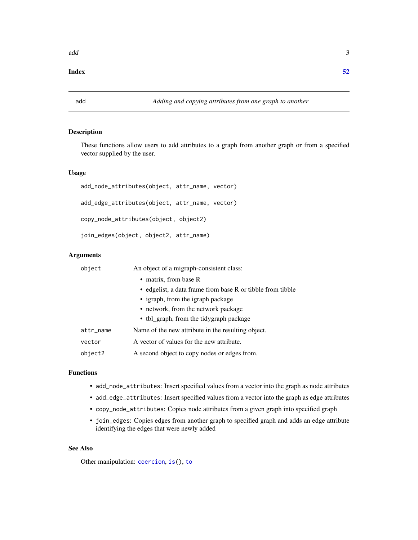# <span id="page-2-0"></span>**Index** [52](#page-51-0)

<span id="page-2-1"></span>

# Description

These functions allow users to add attributes to a graph from another graph or from a specified vector supplied by the user.

# Usage

add\_node\_attributes(object, attr\_name, vector) add\_edge\_attributes(object, attr\_name, vector) copy\_node\_attributes(object, object2) join\_edges(object, object2, attr\_name)

# Arguments

| object    | An object of a migraph-consistent class:                   |  |  |  |  |
|-----------|------------------------------------------------------------|--|--|--|--|
|           | • matrix, from base R                                      |  |  |  |  |
|           | • edgelist, a data frame from base R or tibble from tibble |  |  |  |  |
|           | • igraph, from the igraph package                          |  |  |  |  |
|           | • network, from the network package                        |  |  |  |  |
|           | • tbl_graph, from the tidygraph package                    |  |  |  |  |
| attr_name | Name of the new attribute in the resulting object.         |  |  |  |  |
| vector    | A vector of values for the new attribute.                  |  |  |  |  |
| object2   | A second object to copy nodes or edges from.               |  |  |  |  |

# Functions

- add\_node\_attributes: Insert specified values from a vector into the graph as node attributes
- add\_edge\_attributes: Insert specified values from a vector into the graph as edge attributes
- copy\_node\_attributes: Copies node attributes from a given graph into specified graph
- join\_edges: Copies edges from another graph to specified graph and adds an edge attribute identifying the edges that were newly added

#### See Also

Other manipulation: [coercion](#page-12-1), [is\(](#page-27-1)), [to](#page-47-1)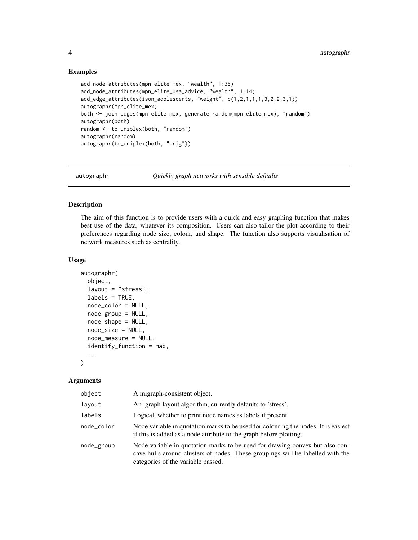# Examples

```
add_node_attributes(mpn_elite_mex, "wealth", 1:35)
add_node_attributes(mpn_elite_usa_advice, "wealth", 1:14)
add_edge_attributes(ison_adolescents, "weight", c(1,2,1,1,1,3,2,2,3,1))
autographr(mpn_elite_mex)
both <- join_edges(mpn_elite_mex, generate_random(mpn_elite_mex), "random")
autographr(both)
random <- to_uniplex(both, "random")
autographr(random)
autographr(to_uniplex(both, "orig"))
```
autographr *Quickly graph networks with sensible defaults*

#### Description

The aim of this function is to provide users with a quick and easy graphing function that makes best use of the data, whatever its composition. Users can also tailor the plot according to their preferences regarding node size, colour, and shape. The function also supports visualisation of network measures such as centrality.

# Usage

```
autographr(
  object,
  layout = "stress",
  labels = TRUE,
  node_color = NULL,
 node_group = NULL,
 node_shape = NULL,
 node_size = NULL,
 node_measure = NULL,
  identify_function = max,
  ...
)
```
#### Arguments

| object     | A migraph-consistent object.                                                                                                                                                                         |
|------------|------------------------------------------------------------------------------------------------------------------------------------------------------------------------------------------------------|
| layout     | An igraph layout algorithm, currently defaults to 'stress'.                                                                                                                                          |
| labels     | Logical, whether to print node names as labels if present.                                                                                                                                           |
| node_color | Node variable in quotation marks to be used for colouring the nodes. It is easiest<br>if this is added as a node attribute to the graph before plotting.                                             |
| node_group | Node variable in quotation marks to be used for drawing convex but also con-<br>cave hulls around clusters of nodes. These groupings will be labelled with the<br>categories of the variable passed. |

<span id="page-3-0"></span>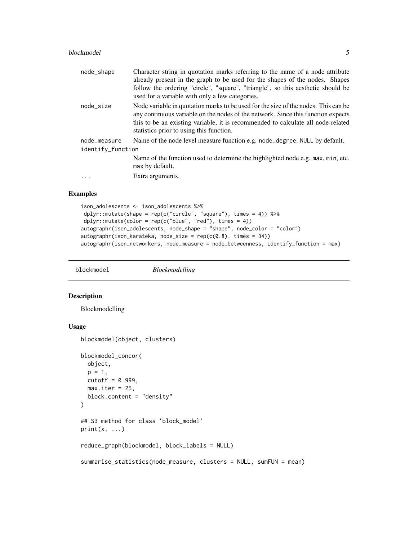#### <span id="page-4-0"></span>blockmodel 55 and 55 and 55 and 55 and 55 and 55 and 55 and 55 and 55 and 55 and 55 and 55 and 55 and 55 and 55 and 55 and 55 and 55 and 55 and 55 and 55 and 55 and 55 and 55 and 55 and 55 and 55 and 55 and 55 and 55 and 5

| node_shape        | Character string in quotation marks referring to the name of a node attribute<br>already present in the graph to be used for the shapes of the nodes. Shapes<br>follow the ordering "circle", "square", "triangle", so this aesthetic should be<br>used for a variable with only a few categories.     |
|-------------------|--------------------------------------------------------------------------------------------------------------------------------------------------------------------------------------------------------------------------------------------------------------------------------------------------------|
| node_size         | Node variable in quotation marks to be used for the size of the nodes. This can be<br>any continuous variable on the nodes of the network. Since this function expects<br>this to be an existing variable, it is recommended to calculate all node-related<br>statistics prior to using this function. |
| node_measure      | Name of the node level measure function e.g. node_degree. NULL by default.                                                                                                                                                                                                                             |
| identify_function |                                                                                                                                                                                                                                                                                                        |
|                   | Name of the function used to determine the highlighted node e.g. max, min, etc.<br>max by default.                                                                                                                                                                                                     |
|                   | Extra arguments.                                                                                                                                                                                                                                                                                       |
|                   |                                                                                                                                                                                                                                                                                                        |

#### Examples

```
ison_adolescents <- ison_adolescents %>%
dplyr::mutate(shape = rep(c("circle", "square"), times = 4)) %>%
dplyr::mutate(color = rep(c("blue", "red"), times = 4))
autographr(ison_adolescents, node_shape = "shape", node_color = "color")
autographr(ison_karateka, node_size = rep(c(0.8), times = 34))
autographr(ison_networkers, node_measure = node_betweenness, identify_function = max)
```
blockmodel *Blockmodelling*

# Description

Blockmodelling

# Usage

```
blockmodel(object, clusters)
blockmodel_concor(
 object,
 p = 1,
 cutoff = 0.999,
 max.iter = 25,
 block.content = "density"
)
## S3 method for class 'block_model'
print(x, \ldots)reduce_graph(blockmodel, block_labels = NULL)
summarise_statistics(node_measure, clusters = NULL, sumFUN = mean)
```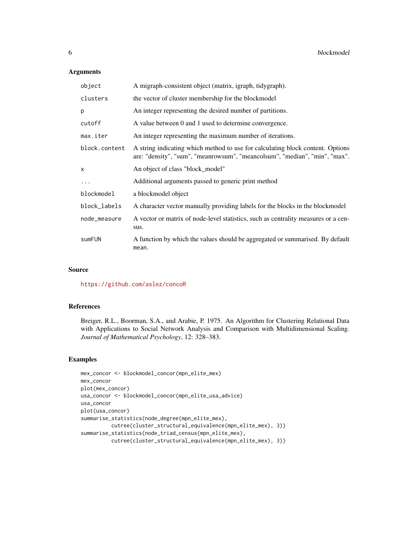# Arguments

| object        | A migraph-consistent object (matrix, igraph, tidygraph).                                                                                                     |
|---------------|--------------------------------------------------------------------------------------------------------------------------------------------------------------|
| clusters      | the vector of cluster membership for the blockmodel                                                                                                          |
| p             | An integer representing the desired number of partitions.                                                                                                    |
| cutoff        | A value between 0 and 1 used to determine convergence.                                                                                                       |
| max.iter      | An integer representing the maximum number of iterations.                                                                                                    |
| block.content | A string indicating which method to use for calculating block content. Options<br>are: "density", "sum", "meanrowsum", "meancolsum", "median", "min", "max". |
| $\mathsf{x}$  | An object of class "block_model"                                                                                                                             |
| $\cdots$      | Additional arguments passed to generic print method                                                                                                          |
| blockmodel    | a blockmodel object                                                                                                                                          |
| block_labels  | A character vector manually providing labels for the blocks in the blockmodel                                                                                |
| node_measure  | A vector or matrix of node-level statistics, such as centrality measures or a cen-<br>sus.                                                                   |
| sumFUN        | A function by which the values should be aggregated or summarised. By default<br>mean.                                                                       |

#### Source

<https://github.com/aslez/concoR>

# References

Breiger, R.L., Boorman, S.A., and Arabie, P. 1975. An Algorithm for Clustering Relational Data with Applications to Social Network Analysis and Comparison with Multidimensional Scaling. *Journal of Mathematical Psychology*, 12: 328–383.

```
mex_concor <- blockmodel_concor(mpn_elite_mex)
mex_concor
plot(mex_concor)
usa_concor <- blockmodel_concor(mpn_elite_usa_advice)
usa_concor
plot(usa_concor)
summarise_statistics(node_degree(mpn_elite_mex),
         cutree(cluster_structural_equivalence(mpn_elite_mex), 3))
summarise_statistics(node_triad_census(mpn_elite_mex),
          cutree(cluster_structural_equivalence(mpn_elite_mex), 3))
```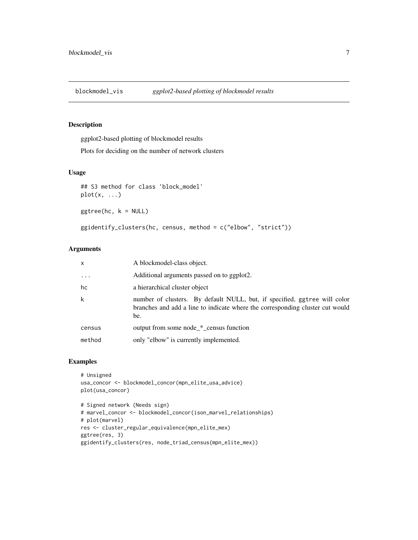<span id="page-6-0"></span>blockmodel\_vis *ggplot2-based plotting of blockmodel results*

# Description

ggplot2-based plotting of blockmodel results

Plots for deciding on the number of network clusters

# Usage

```
## S3 method for class 'block_model'
plot(x, ...)
ggtree(hc, k = NULL)
ggidentify_clusters(hc, census, method = c("elbow", "strict"))
```
# Arguments

| $\mathsf{x}$ | A blockmodel-class object.                                                                                                                                        |
|--------------|-------------------------------------------------------------------------------------------------------------------------------------------------------------------|
| $\cdots$     | Additional arguments passed on to ggplot2.                                                                                                                        |
| hc           | a hierarchical cluster object                                                                                                                                     |
| $\mathsf k$  | number of clusters. By default NULL, but, if specified, ggtree will color<br>branches and add a line to indicate where the corresponding cluster cut would<br>be. |
| census       | output from some node * census function                                                                                                                           |
| method       | only "elbow" is currently implemented.                                                                                                                            |

```
# Unsigned
usa_concor <- blockmodel_concor(mpn_elite_usa_advice)
plot(usa_concor)
# Signed network (Needs sign)
```

```
# marvel_concor <- blockmodel_concor(ison_marvel_relationships)
# plot(marvel)
res <- cluster_regular_equivalence(mpn_elite_mex)
ggtree(res, 3)
ggidentify_clusters(res, node_triad_census(mpn_elite_mex))
```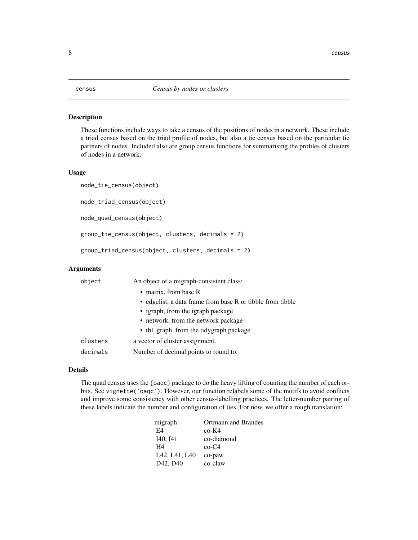<span id="page-7-0"></span>These functions include ways to take a census of the positions of nodes in a network. These include a triad census based on the triad profile of nodes, but also a tie census based on the particular tie partners of nodes. Included also are group census functions for summarising the profiles of clusters of nodes in a network.

# Usage

```
node_tie_census(object)
```
node\_triad\_census(object)

node\_quad\_census(object)

```
group_tie_census(object, clusters, decimals = 2)
```

```
group_triad_census(object, clusters, decimals = 2)
```
#### Arguments

| object   | An object of a migraph-consistent class:                   |  |  |
|----------|------------------------------------------------------------|--|--|
|          | • matrix, from base R                                      |  |  |
|          | • edgelist, a data frame from base R or tibble from tibble |  |  |
|          | • igraph, from the igraph package                          |  |  |
|          | • network, from the network package                        |  |  |
|          | • tbl_graph, from the tidygraph package                    |  |  |
| clusters | a vector of cluster assignment.                            |  |  |
| decimals | Number of decimal points to round to.                      |  |  |

#### Details

The quad census uses the {oaqc} package to do the heavy lifting of counting the number of each orbits. See vignette('oaqc'). However, our function relabels some of the motifs to avoid conflicts and improve some consistency with other census-labelling practices. The letter-number pairing of these labels indicate the number and configuration of ties. For now, we offer a rough translation:

| migraph                           | <b>Ortmann and Brandes</b> |
|-----------------------------------|----------------------------|
| F4                                | $co-K4$                    |
| I <sub>40</sub> , I <sub>41</sub> | co-diamond                 |
| H4                                | $co-C4$                    |
| L42, L41, L40                     | co-paw                     |
| D <sub>42</sub> , D <sub>40</sub> | co-claw                    |
|                                   |                            |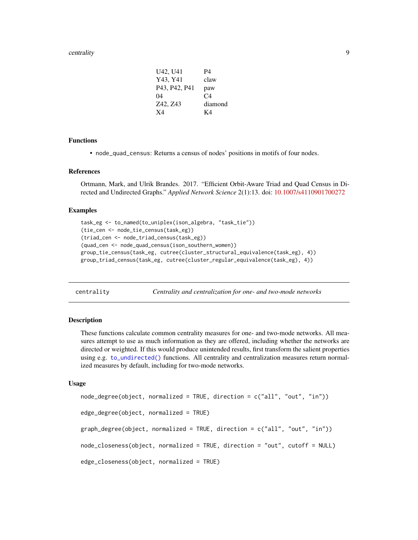#### <span id="page-8-0"></span>centrality 9

| U42, U41      | P4      |
|---------------|---------|
| Y43, Y41      | claw    |
| P43, P42, P41 | paw     |
| 04            | C4      |
| Z42, Z43      | diamond |
| X4            | K4      |

#### Functions

• node\_quad\_census: Returns a census of nodes' positions in motifs of four nodes.

#### References

Ortmann, Mark, and Ulrik Brandes. 2017. "Efficient Orbit-Aware Triad and Quad Census in Directed and Undirected Graphs." *Applied Network Science* 2(1):13. doi: [10.1007/s4110901700272](https://doi.org/10.1007/s41109-017-0027-2)

#### Examples

```
task_eg <- to_named(to_uniplex(ison_algebra, "task_tie"))
(tie_cen <- node_tie_census(task_eg))
(triad_cen <- node_triad_census(task_eg))
(quad_cen <- node_quad_census(ison_southern_women))
group_tie_census(task_eg, cutree(cluster_structural_equivalence(task_eg), 4))
group_triad_census(task_eg, cutree(cluster_regular_equivalence(task_eg), 4))
```
centrality *Centrality and centralization for one- and two-mode networks*

#### Description

These functions calculate common centrality measures for one- and two-mode networks. All measures attempt to use as much information as they are offered, including whether the networks are directed or weighted. If this would produce unintended results, first transform the salient properties using e.g. [to\\_undirected\(\)](#page-47-2) functions. All centrality and centralization measures return normalized measures by default, including for two-mode networks.

#### Usage

```
node_degree(object, normalized = TRUE, direction = c("all", "out", "in"))
edge_degree(object, normalized = TRUE)
graph\_degree(object, normalized = TRUE, direction = c("all", "out", "in"))node_closeness(object, normalized = TRUE, direction = "out", cutoff = NULL)
edge_closeness(object, normalized = TRUE)
```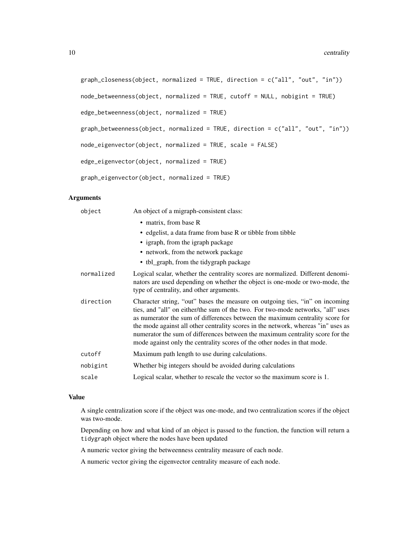```
graph\_closeness(object, normalized = TRUE, direction = c("all", "out", "in"))node_betweenness(object, normalized = TRUE, cutoff = NULL, nobigint = TRUE)
edge_betweenness(object, normalized = TRUE)
graph\_betweenness(object, normalized = TRUE, direction = c("all", "out", "in"))node_eigenvector(object, normalized = TRUE, scale = FALSE)
edge_eigenvector(object, normalized = TRUE)
```
graph\_eigenvector(object, normalized = TRUE)

# Arguments

| object     | An object of a migraph-consistent class:                                                                                                                                                                                                                                                                                                                                                                                                                                                          |
|------------|---------------------------------------------------------------------------------------------------------------------------------------------------------------------------------------------------------------------------------------------------------------------------------------------------------------------------------------------------------------------------------------------------------------------------------------------------------------------------------------------------|
|            | • matrix, from base R                                                                                                                                                                                                                                                                                                                                                                                                                                                                             |
|            | • edgelist, a data frame from base R or tibble from tibble                                                                                                                                                                                                                                                                                                                                                                                                                                        |
|            | • igraph, from the igraph package                                                                                                                                                                                                                                                                                                                                                                                                                                                                 |
|            | • network, from the network package                                                                                                                                                                                                                                                                                                                                                                                                                                                               |
|            | • tbl_graph, from the tidygraph package                                                                                                                                                                                                                                                                                                                                                                                                                                                           |
| normalized | Logical scalar, whether the centrality scores are normalized. Different denomi-<br>nators are used depending on whether the object is one-mode or two-mode, the<br>type of centrality, and other arguments.                                                                                                                                                                                                                                                                                       |
| direction  | Character string, "out" bases the measure on outgoing ties, "in" on incoming<br>ties, and "all" on either/the sum of the two. For two-mode networks, "all" uses<br>as numerator the sum of differences between the maximum centrality score for<br>the mode against all other centrality scores in the network, whereas "in" uses as<br>numerator the sum of differences between the maximum centrality score for the<br>mode against only the centrality scores of the other nodes in that mode. |
| cutoff     | Maximum path length to use during calculations.                                                                                                                                                                                                                                                                                                                                                                                                                                                   |
|            |                                                                                                                                                                                                                                                                                                                                                                                                                                                                                                   |
| nobigint   | Whether big integers should be avoided during calculations                                                                                                                                                                                                                                                                                                                                                                                                                                        |

# Value

A single centralization score if the object was one-mode, and two centralization scores if the object was two-mode.

Depending on how and what kind of an object is passed to the function, the function will return a tidygraph object where the nodes have been updated

A numeric vector giving the betweenness centrality measure of each node.

A numeric vector giving the eigenvector centrality measure of each node.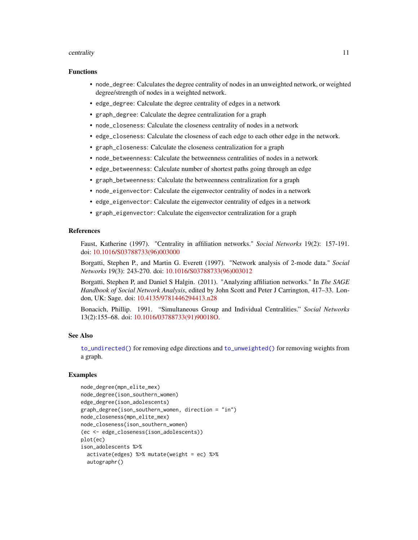#### <span id="page-10-0"></span>centrality that the control of the control of the control of the control of the control of the control of the control of the control of the control of the control of the control of the control of the control of the control

#### Functions

- node\_degree: Calculates the degree centrality of nodes in an unweighted network, or weighted degree/strength of nodes in a weighted network.
- edge\_degree: Calculate the degree centrality of edges in a network
- graph\_degree: Calculate the degree centralization for a graph
- node\_closeness: Calculate the closeness centrality of nodes in a network
- edge\_closeness: Calculate the closeness of each edge to each other edge in the network.
- graph\_closeness: Calculate the closeness centralization for a graph
- node\_betweenness: Calculate the betweenness centralities of nodes in a network
- edge\_betweenness: Calculate number of shortest paths going through an edge
- graph\_betweenness: Calculate the betweenness centralization for a graph
- node\_eigenvector: Calculate the eigenvector centrality of nodes in a network
- edge\_eigenvector: Calculate the eigenvector centrality of edges in a network
- graph\_eigenvector: Calculate the eigenvector centralization for a graph

# References

Faust, Katherine (1997). "Centrality in affiliation networks." *Social Networks* 19(2): 157-191. doi: [10.1016/S03788733\(96\)003000](https://doi.org/10.1016/S0378-8733(96)00300-0)

Borgatti, Stephen P., and Martin G. Everett (1997). "Network analysis of 2-mode data." *Social Networks* 19(3): 243-270. doi: [10.1016/S03788733\(96\)003012](https://doi.org/10.1016/S0378-8733(96)00301-2)

Borgatti, Stephen P, and Daniel S Halgin. (2011). "Analyzing affiliation networks." In *The SAGE Handbook of Social Network Analysis*, edited by John Scott and Peter J Carrington, 417–33. London, UK: Sage. doi: [10.4135/9781446294413.n28](https://doi.org/10.4135/9781446294413.n28)

Bonacich, Phillip. 1991. "Simultaneous Group and Individual Centralities." *Social Networks* 13(2):155–68. doi: [10.1016/03788733\(91\)90018O.](https://doi.org/10.1016/0378-8733(91)90018-O)

# See Also

[to\\_undirected\(\)](#page-47-2) for removing edge directions and [to\\_unweighted\(\)](#page-47-2) for removing weights from a graph.

```
node_degree(mpn_elite_mex)
node_degree(ison_southern_women)
edge_degree(ison_adolescents)
graph_degree(ison_southern_women, direction = "in")
node_closeness(mpn_elite_mex)
node_closeness(ison_southern_women)
(ec <- edge_closeness(ison_adolescents))
plot(ec)
ison_adolescents %>%
 activate(edges) %>% mutate(weight = ec) %>%
 autographr()
```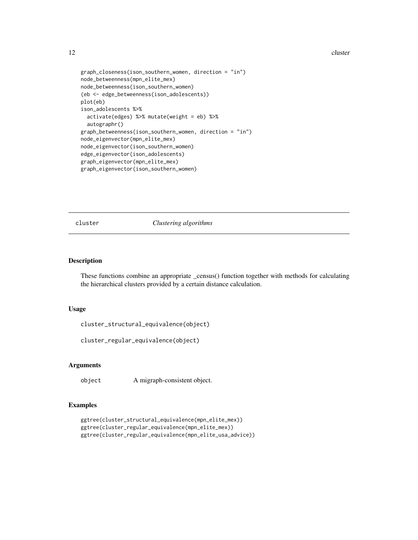<span id="page-11-0"></span>12 cluster

```
graph_closeness(ison_southern_women, direction = "in")
node_betweenness(mpn_elite_mex)
node_betweenness(ison_southern_women)
(eb <- edge_betweenness(ison_adolescents))
plot(eb)
ison_adolescents %>%
 activate(edges) %>% mutate(weight = eb) %>%
 autographr()
graph_betweenness(ison_southern_women, direction = "in")
node_eigenvector(mpn_elite_mex)
node_eigenvector(ison_southern_women)
edge_eigenvector(ison_adolescents)
graph_eigenvector(mpn_elite_mex)
graph_eigenvector(ison_southern_women)
```
cluster *Clustering algorithms*

#### Description

These functions combine an appropriate \_census() function together with methods for calculating the hierarchical clusters provided by a certain distance calculation.

#### Usage

```
cluster_structural_equivalence(object)
```

```
cluster_regular_equivalence(object)
```
# Arguments

object A migraph-consistent object.

```
ggtree(cluster_structural_equivalence(mpn_elite_mex))
ggtree(cluster_regular_equivalence(mpn_elite_mex))
ggtree(cluster_regular_equivalence(mpn_elite_usa_advice))
```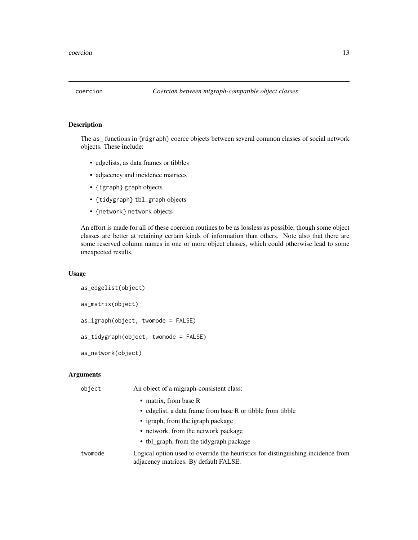<span id="page-12-1"></span><span id="page-12-0"></span>

The as\_ functions in {migraph} coerce objects between several common classes of social network objects. These include:

- edgelists, as data frames or tibbles
- adjacency and incidence matrices
- {igraph} graph objects
- {tidygraph} tbl\_graph objects
- {network} network objects

An effort is made for all of these coercion routines to be as lossless as possible, though some object classes are better at retaining certain kinds of information than others. Note also that there are some reserved column names in one or more object classes, which could otherwise lead to some unexpected results.

# Usage

```
as_edgelist(object)
as_matrix(object)
as_igraph(object, twomode = FALSE)
as_tidygraph(object, twomode = FALSE)
as_network(object)
```
# Arguments

| object  | An object of a migraph-consistent class:                                                                                  |
|---------|---------------------------------------------------------------------------------------------------------------------------|
|         | • matrix, from base R                                                                                                     |
|         | • edgelist, a data frame from base R or tibble from tibble                                                                |
|         | • igraph, from the igraph package                                                                                         |
|         | • network, from the network package                                                                                       |
|         | • tbl_graph, from the tidygraph package                                                                                   |
| twomode | Logical option used to override the heuristics for distinguishing incidence from<br>adjacency matrices. By default FALSE. |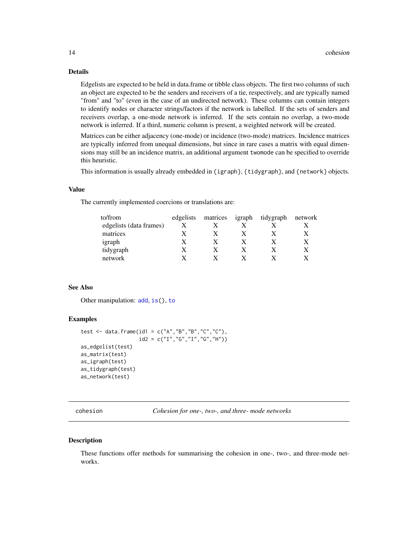# <span id="page-13-0"></span>Details

Edgelists are expected to be held in data.frame or tibble class objects. The first two columns of such an object are expected to be the senders and receivers of a tie, respectively, and are typically named "from" and "to" (even in the case of an undirected network). These columns can contain integers to identify nodes or character strings/factors if the network is labelled. If the sets of senders and receivers overlap, a one-mode network is inferred. If the sets contain no overlap, a two-mode network is inferred. If a third, numeric column is present, a weighted network will be created.

Matrices can be either adjacency (one-mode) or incidence (two-mode) matrices. Incidence matrices are typically inferred from unequal dimensions, but since in rare cases a matrix with equal dimensions may still be an incidence matrix, an additional argument twomode can be specified to override this heuristic.

This information is usually already embedded in {igraph}, {tidygraph}, and {network} objects.

#### Value

The currently implemented coercions or translations are:

| edgelists | matrices |  | network          |
|-----------|----------|--|------------------|
|           |          |  |                  |
|           |          |  |                  |
|           |          |  |                  |
|           |          |  |                  |
|           |          |  |                  |
|           |          |  | igraph tidygraph |

#### See Also

Other manipulation: [add](#page-2-1), [is\(](#page-27-1)), [to](#page-47-1)

#### Examples

```
test <- data.frame(id1 = c("A", "B", "B", "C", "C"),
                   id2 = c("I", "G", "I", "G", "H")as_edgelist(test)
as_matrix(test)
as_igraph(test)
as_tidygraph(test)
as_network(test)
```
<span id="page-13-2"></span>cohesion *Cohesion for one-, two-, and three- mode networks*

#### <span id="page-13-1"></span>**Description**

These functions offer methods for summarising the cohesion in one-, two-, and three-mode networks.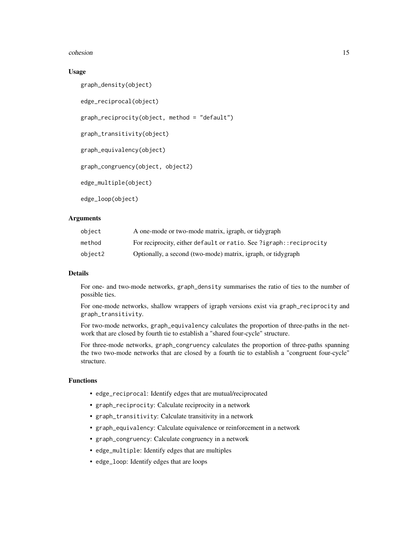#### cohesion and the contract of the contract of the contract of the contract of the contract of the contract of the contract of the contract of the contract of the contract of the contract of the contract of the contract of t

# Usage

graph\_density(object)

edge\_reciprocal(object)

graph\_reciprocity(object, method = "default")

graph\_transitivity(object)

graph\_equivalency(object)

graph\_congruency(object, object2)

edge\_multiple(object)

edge\_loop(object)

# Arguments

| object  | A one-mode or two-mode matrix, igraph, or tidygraph                 |
|---------|---------------------------------------------------------------------|
| method  | For reciprocity, either default or ratio. See ?igraph:: reciprocity |
| object2 | Optionally, a second (two-mode) matrix, igraph, or tidygraph        |

# Details

For one- and two-mode networks, graph\_density summarises the ratio of ties to the number of possible ties.

For one-mode networks, shallow wrappers of igraph versions exist via graph\_reciprocity and graph\_transitivity.

For two-mode networks, graph\_equivalency calculates the proportion of three-paths in the network that are closed by fourth tie to establish a "shared four-cycle" structure.

For three-mode networks, graph\_congruency calculates the proportion of three-paths spanning the two two-mode networks that are closed by a fourth tie to establish a "congruent four-cycle" structure.

# Functions

- edge\_reciprocal: Identify edges that are mutual/reciprocated
- graph\_reciprocity: Calculate reciprocity in a network
- graph\_transitivity: Calculate transitivity in a network
- graph\_equivalency: Calculate equivalence or reinforcement in a network
- graph\_congruency: Calculate congruency in a network
- edge\_multiple: Identify edges that are multiples
- edge\_loop: Identify edges that are loops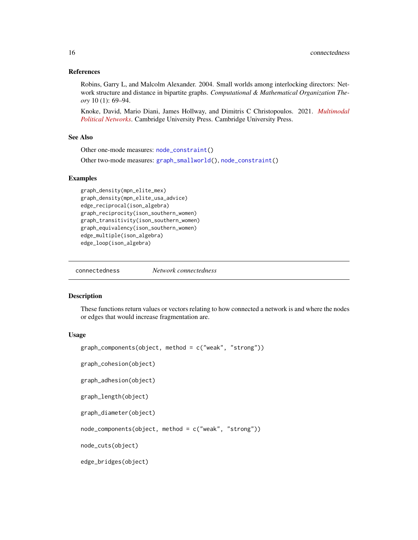## <span id="page-15-0"></span>References

Robins, Garry L, and Malcolm Alexander. 2004. Small worlds among interlocking directors: Network structure and distance in bipartite graphs. *Computational & Mathematical Organization Theory* 10 (1): 69–94.

Knoke, David, Mario Diani, James Hollway, and Dimitris C Christopoulos. 2021. *[Multimodal](https://www.cambridge.org/core/books/multimodal-political-networks/43EE8C192A1B0DCD65B4D9B9A7842128) [Political Networks](https://www.cambridge.org/core/books/multimodal-political-networks/43EE8C192A1B0DCD65B4D9B9A7842128)*. Cambridge University Press. Cambridge University Press.

# See Also

Other one-mode measures: [node\\_constraint\(](#page-40-1))

Other two-mode measures: [graph\\_smallworld\(](#page-26-1)), [node\\_constraint\(](#page-40-1))

#### Examples

```
graph_density(mpn_elite_mex)
graph_density(mpn_elite_usa_advice)
edge_reciprocal(ison_algebra)
graph_reciprocity(ison_southern_women)
graph_transitivity(ison_southern_women)
graph_equivalency(ison_southern_women)
edge_multiple(ison_algebra)
edge_loop(ison_algebra)
```
connectedness *Network connectedness*

# Description

These functions return values or vectors relating to how connected a network is and where the nodes or edges that would increase fragmentation are.

#### Usage

```
graph_components(object, method = c("weak", "strong"))
graph_cohesion(object)
graph_adhesion(object)
```

```
graph_length(object)
```

```
graph_diameter(object)
```
node\_components(object, method = c("weak", "strong"))

node\_cuts(object)

edge\_bridges(object)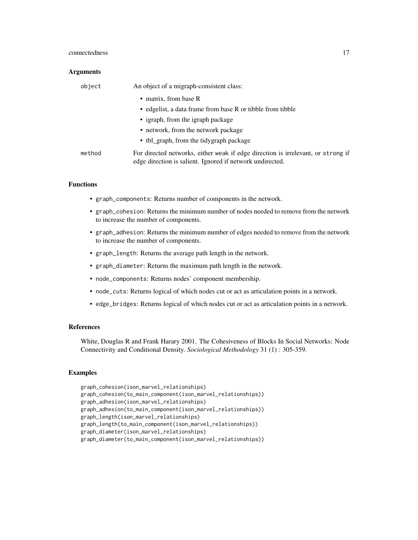# connectedness and the connectedness in the connectedness in the connectedness in the connectedness in the connected of  $17$

#### **Arguments**

| object | An object of a migraph-consistent class:                                                                                                      |  |
|--------|-----------------------------------------------------------------------------------------------------------------------------------------------|--|
|        | • matrix, from base R                                                                                                                         |  |
|        | • edgelist, a data frame from base R or tibble from tibble                                                                                    |  |
|        | • igraph, from the igraph package                                                                                                             |  |
|        | • network, from the network package                                                                                                           |  |
|        | • tbl_graph, from the tidygraph package                                                                                                       |  |
| method | For directed networks, either weak if edge direction is irrelevant, or strong if<br>edge direction is salient. Ignored if network undirected. |  |

# Functions

- graph\_components: Returns number of components in the network.
- graph\_cohesion: Returns the minimum number of nodes needed to remove from the network to increase the number of components.
- graph\_adhesion: Returns the minimum number of edges needed to remove from the network to increase the number of components.
- graph\_length: Returns the average path length in the network.
- graph\_diameter: Returns the maximum path length in the network.
- node\_components: Returns nodes' component membership.
- node\_cuts: Returns logical of which nodes cut or act as articulation points in a network.
- edge\_bridges: Returns logical of which nodes cut or act as articulation points in a network.

# References

White, Douglas R and Frank Harary 2001. The Cohesiveness of Blocks In Social Networks: Node Connectivity and Conditional Density. *Sociological Methodology* 31 (1) : 305-359.

```
graph_cohesion(ison_marvel_relationships)
graph_cohesion(to_main_component(ison_marvel_relationships))
graph_adhesion(ison_marvel_relationships)
graph_adhesion(to_main_component(ison_marvel_relationships))
graph_length(ison_marvel_relationships)
graph_length(to_main_component(ison_marvel_relationships))
graph_diameter(ison_marvel_relationships)
graph_diameter(to_main_component(ison_marvel_relationships))
```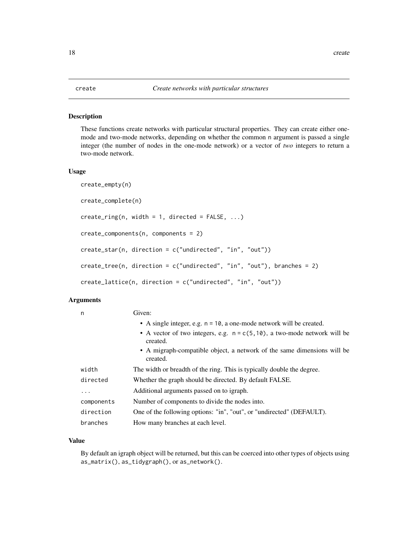<span id="page-17-1"></span><span id="page-17-0"></span>These functions create networks with particular structural properties. They can create either onemode and two-mode networks, depending on whether the common n argument is passed a single integer (the number of nodes in the one-mode network) or a vector of *two* integers to return a two-mode network.

#### Usage

```
create_empty(n)
create_complete(n)
create\_ring(n, width = 1, directed = FALSE, ...)create_components(n, components = 2)
create_star(n, direction = c("undirected", "in", "out"))
create_tree(n, direction = c("undirected", "in", "out"), branches = 2)
create_lattice(n, direction = c("undirected", "in", "out"))
```
# Arguments

| n          | Given:                                                                                   |
|------------|------------------------------------------------------------------------------------------|
|            | • A single integer, e.g. $n = 10$ , a one-mode network will be created.                  |
|            | • A vector of two integers, e.g. $n = c(5, 10)$ , a two-mode network will be<br>created. |
|            | • A migraph-compatible object, a network of the same dimensions will be<br>created.      |
| width      | The width or breadth of the ring. This is typically double the degree.                   |
| directed   | Whether the graph should be directed. By default FALSE.                                  |
| .          | Additional arguments passed on to igraph.                                                |
| components | Number of components to divide the nodes into.                                           |
| direction  | One of the following options: "in", "out", or "undirected" (DEFAULT).                    |
| branches   | How many branches at each level.                                                         |

## Value

By default an igraph object will be returned, but this can be coerced into other types of objects using as\_matrix(), as\_tidygraph(), or as\_network().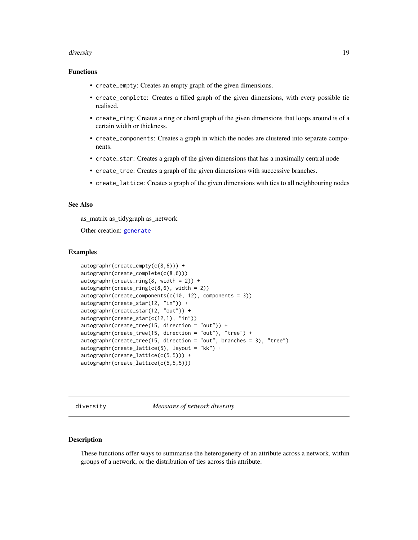#### <span id="page-18-0"></span>diversity and the contract of the contract of the contract of the contract of the contract of the contract of the contract of the contract of the contract of the contract of the contract of the contract of the contract of

# Functions

- create\_empty: Creates an empty graph of the given dimensions.
- create\_complete: Creates a filled graph of the given dimensions, with every possible tie realised.
- create\_ring: Creates a ring or chord graph of the given dimensions that loops around is of a certain width or thickness.
- create\_components: Creates a graph in which the nodes are clustered into separate components.
- create\_star: Creates a graph of the given dimensions that has a maximally central node
- create\_tree: Creates a graph of the given dimensions with successive branches.
- create\_lattice: Creates a graph of the given dimensions with ties to all neighbouring nodes

# See Also

as\_matrix as\_tidygraph as\_network

Other creation: [generate](#page-19-1)

#### Examples

```
autographr(create_empty(c(8,6))) +
autographr(create_complete(c(8,6)))
autography(create\_ring(8, width = 2)) +autography(create\_ring(c(8,6), width = 2))autographr(create_components(c(10, 12), components = 3))
autographr(create_star(12, "in")) +
autographr(create_star(12, "out")) +
autographr(create_star(c(12,1), "in"))
autographr(create_tree(15, direction = "out")) +
autographr(create_tree(15, direction = "out"), "tree") +
autographr(create_tree(15, direction = "out", branches = 3), "tree")
autographr(create_lattice(5), layout = "kk") +
autographr(create_lattice(c(5,5))) +
autographr(create_lattice(c(5,5,5)))
```
diversity *Measures of network diversity*

# **Description**

These functions offer ways to summarise the heterogeneity of an attribute across a network, within groups of a network, or the distribution of ties across this attribute.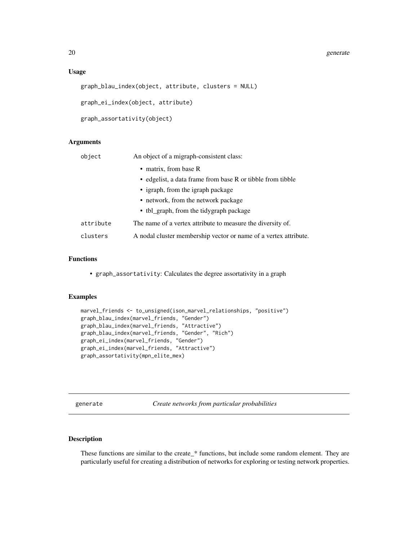#### <span id="page-19-0"></span>Usage

```
graph_blau_index(object, attribute, clusters = NULL)
```
graph\_ei\_index(object, attribute)

```
graph_assortativity(object)
```
# Arguments

| object    | An object of a migraph-consistent class:                         |
|-----------|------------------------------------------------------------------|
|           | • matrix, from base R                                            |
|           | • edgelist, a data frame from base R or tibble from tibble       |
|           | • igraph, from the igraph package                                |
|           | • network, from the network package                              |
|           | • tbl_graph, from the tidygraph package                          |
| attribute | The name of a vertex attribute to measure the diversity of.      |
| clusters  | A nodal cluster membership vector or name of a vertex attribute. |

# Functions

• graph\_assortativity: Calculates the degree assortativity in a graph

#### Examples

```
marvel_friends <- to_unsigned(ison_marvel_relationships, "positive")
graph_blau_index(marvel_friends, "Gender")
graph_blau_index(marvel_friends, "Attractive")
graph_blau_index(marvel_friends, "Gender", "Rich")
graph_ei_index(marvel_friends, "Gender")
graph_ei_index(marvel_friends, "Attractive")
graph_assortativity(mpn_elite_mex)
```
<span id="page-19-1"></span>generate *Create networks from particular probabilities*

# Description

These functions are similar to the create\_\* functions, but include some random element. They are particularly useful for creating a distribution of networks for exploring or testing network properties.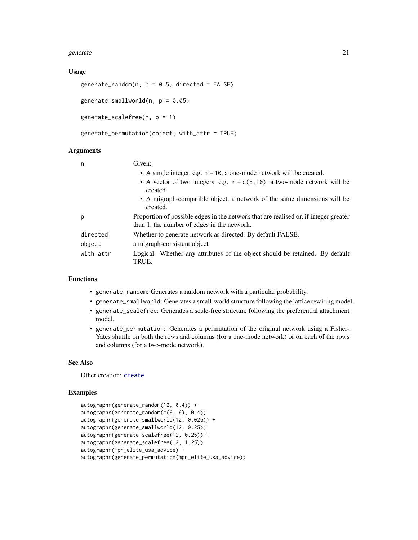#### <span id="page-20-0"></span>generate 21

# Usage

```
generate_random(n, p = 0.5, directed = FALSE)
```

```
generate_smallworld(n, p = 0.05)
```

```
generate_scalefree(n, p = 1)
```

```
generate_permutation(object, with_attr = TRUE)
```
# Arguments

| n         | Given:                                                                                                                              |  |
|-----------|-------------------------------------------------------------------------------------------------------------------------------------|--|
|           | • A single integer, e.g. $n = 10$ , a one-mode network will be created.                                                             |  |
|           | • A vector of two integers, e.g. $n = c(5, 10)$ , a two-mode network will be<br>created.                                            |  |
|           | • A migraph-compatible object, a network of the same dimensions will be<br>created.                                                 |  |
| p         | Proportion of possible edges in the network that are realised or, if integer greater<br>than 1, the number of edges in the network. |  |
| directed  | Whether to generate network as directed. By default FALSE.                                                                          |  |
| object    | a migraph-consistent object                                                                                                         |  |
| with_attr | Logical. Whether any attributes of the object should be retained. By default<br>TRUE.                                               |  |

# Functions

- generate\_random: Generates a random network with a particular probability.
- generate\_smallworld: Generates a small-world structure following the lattice rewiring model.
- generate\_scalefree: Generates a scale-free structure following the preferential attachment model.
- generate\_permutation: Generates a permutation of the original network using a Fisher-Yates shuffle on both the rows and columns (for a one-mode network) or on each of the rows and columns (for a two-mode network).

# See Also

Other creation: [create](#page-17-1)

```
autographr(generate_random(12, 0.4)) +
autographr(generate_random(c(6, 6), 0.4))
autographr(generate_smallworld(12, 0.025)) +
autographr(generate_smallworld(12, 0.25))
autographr(generate_scalefree(12, 0.25)) +
autographr(generate_scalefree(12, 1.25))
autographr(mpn_elite_usa_advice) +
autographr(generate_permutation(mpn_elite_usa_advice))
```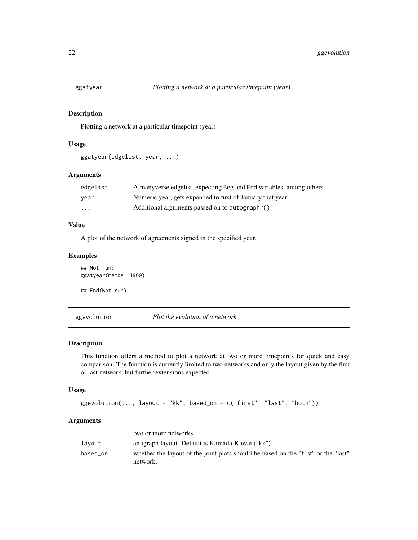<span id="page-21-0"></span>

Plotting a network at a particular timepoint (year)

#### Usage

```
ggatyear(edgelist, year, ...)
```
# Arguments

| edgelist | A manyverse edgelist, expecting Beg and End variables, among others |
|----------|---------------------------------------------------------------------|
| year     | Numeric year, gets expanded to first of January that year           |
| $\cdots$ | Additional arguments passed on to autographr().                     |

# Value

A plot of the network of agreements signed in the specified year.

# Examples

## Not run: ggatyear(membs, 1900) ## End(Not run)

ggevolution *Plot the evolution of a network*

#### Description

This function offers a method to plot a network at two or more timepoints for quick and easy comparison. The function is currently limited to two networks and only the layout given by the first or last network, but further extensions expected.

# Usage

ggevolution(..., layout = "kk", based\_on = c("first", "last", "both"))

# Arguments

| $\cdot$  | two or more networks                                                                           |
|----------|------------------------------------------------------------------------------------------------|
| layout   | an igraph layout. Default is Kamada-Kawai ("kk")                                               |
| based_on | whether the layout of the joint plots should be based on the "first" or the "last"<br>network. |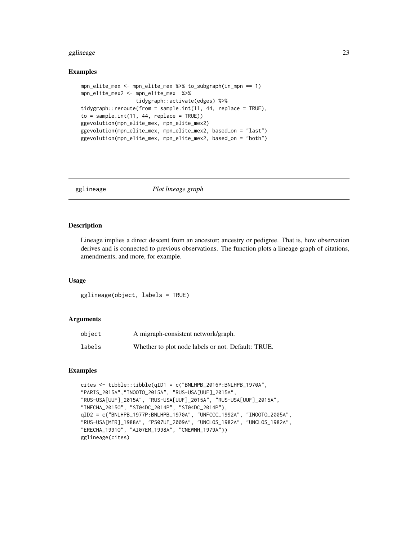#### <span id="page-22-0"></span>gglineage 23

#### Examples

```
mpn_elite_mex <- mpn_elite_mex %>% to_subgraph(in_mpn == 1)
mpn_elite_mex2 <- mpn_elite_mex %>%
                  tidygraph::activate(edges) %>%
tidygraph::reroute(from = sample.int(11, 44, replace = TRUE),
to = sample.int(11, 44, replace = TRUE))ggevolution(mpn_elite_mex, mpn_elite_mex2)
ggevolution(mpn_elite_mex, mpn_elite_mex2, based_on = "last")
ggevolution(mpn_elite_mex, mpn_elite_mex2, based_on = "both")
```

```
gglineage Plot lineage graph
```
# **Description**

Lineage implies a direct descent from an ancestor; ancestry or pedigree. That is, how observation derives and is connected to previous observations. The function plots a lineage graph of citations, amendments, and more, for example.

#### Usage

gglineage(object, labels = TRUE)

# Arguments

| object | A migraph-consistent network/graph.                |
|--------|----------------------------------------------------|
| labels | Whether to plot node labels or not. Default: TRUE. |

```
cites <- tibble::tibble(qID1 = c("BNLHPB_2016P:BNLHPB_1970A",
"PARIS_2015A","INOOTO_2015A", "RUS-USA[UUF]_2015A",
"RUS-USA[UUF]_2015A", "RUS-USA[UUF]_2015A", "RUS-USA[UUF]_2015A",
"INECHA_2015O", "ST04DC_2014P", "ST04DC_2014P"),
qID2 = c("BNLHPB_1977P:BNLHPB_1970A", "UNFCCC_1992A", "INOOTO_2005A",
"RUS-USA[MFR]_1988A", "PS07UF_2009A", "UNCLOS_1982A", "UNCLOS_1982A",
"ERECHA_1991O", "AI07EM_1998A", "CNEWNH_1979A"))
gglineage(cites)
```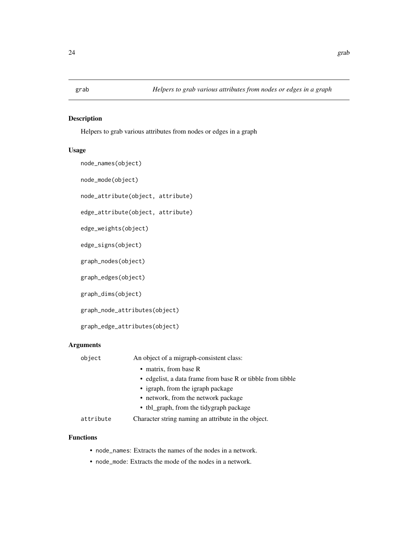<span id="page-23-0"></span>

Helpers to grab various attributes from nodes or edges in a graph

# Usage

```
node_names(object)
node_mode(object)
node_attribute(object, attribute)
edge_attribute(object, attribute)
edge_weights(object)
edge_signs(object)
graph_nodes(object)
graph_edges(object)
```
graph\_dims(object)

graph\_node\_attributes(object)

graph\_edge\_attributes(object)

# Arguments

| object    | An object of a migraph-consistent class:                   |
|-----------|------------------------------------------------------------|
|           | • matrix, from base R                                      |
|           | • edgelist, a data frame from base R or tibble from tibble |
|           | • igraph, from the igraph package                          |
|           | • network, from the network package                        |
|           | • tbl_graph, from the tidygraph package                    |
| attribute | Character string naming an attribute in the object.        |

# Functions

- node\_names: Extracts the names of the nodes in a network.
- node\_mode: Extracts the mode of the nodes in a network.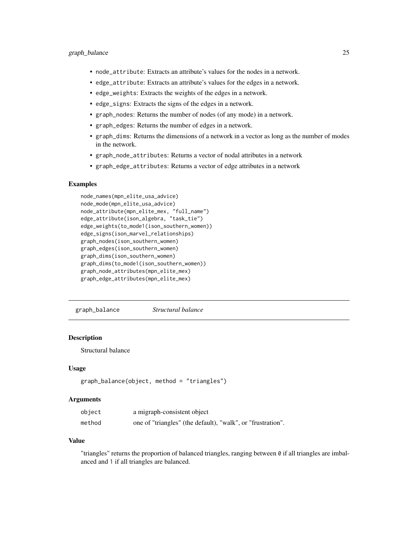- <span id="page-24-0"></span>• node\_attribute: Extracts an attribute's values for the nodes in a network.
- edge\_attribute: Extracts an attribute's values for the edges in a network.
- edge\_weights: Extracts the weights of the edges in a network.
- edge\_signs: Extracts the signs of the edges in a network.
- graph\_nodes: Returns the number of nodes (of any mode) in a network.
- graph\_edges: Returns the number of edges in a network.
- graph\_dims: Returns the dimensions of a network in a vector as long as the number of modes in the network.
- graph\_node\_attributes: Returns a vector of nodal attributes in a network
- graph\_edge\_attributes: Returns a vector of edge attributes in a network

# Examples

```
node_names(mpn_elite_usa_advice)
node_mode(mpn_elite_usa_advice)
node_attribute(mpn_elite_mex, "full_name")
edge_attribute(ison_algebra, "task_tie")
edge_weights(to_mode1(ison_southern_women))
edge_signs(ison_marvel_relationships)
graph_nodes(ison_southern_women)
graph_edges(ison_southern_women)
graph_dims(ison_southern_women)
graph_dims(to_mode1(ison_southern_women))
graph_node_attributes(mpn_elite_mex)
graph_edge_attributes(mpn_elite_mex)
```
graph\_balance *Structural balance*

# Description

Structural balance

#### Usage

```
graph_balance(object, method = "triangles")
```
# Arguments

| object | a migraph-consistent object                                 |
|--------|-------------------------------------------------------------|
| method | one of "triangles" (the default), "walk", or "frustration". |

#### Value

"triangles" returns the proportion of balanced triangles, ranging between 0 if all triangles are imbalanced and 1 if all triangles are balanced.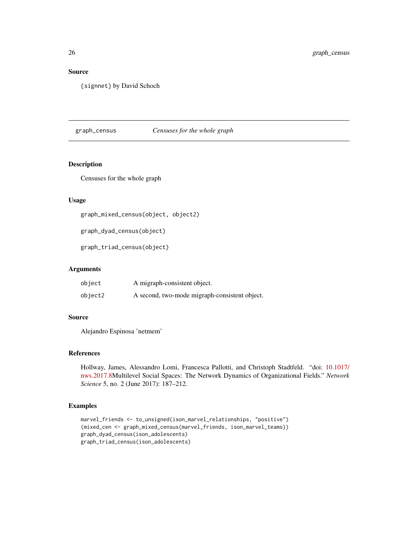# Source

{signnet} by David Schoch

graph\_census *Censuses for the whole graph*

# Description

Censuses for the whole graph

# Usage

```
graph_mixed_census(object, object2)
```
graph\_dyad\_census(object)

graph\_triad\_census(object)

# Arguments

| object  | A migraph-consistent object.                  |
|---------|-----------------------------------------------|
| object2 | A second, two-mode migraph-consistent object. |

# Source

Alejandro Espinosa 'netmem'

# References

Hollway, James, Alessandro Lomi, Francesca Pallotti, and Christoph Stadtfeld. "doi: [10.1017/](https://doi.org/10.1017/nws.2017.8) [nws.2017.8M](https://doi.org/10.1017/nws.2017.8)ultilevel Social Spaces: The Network Dynamics of Organizational Fields." *Network Science* 5, no. 2 (June 2017): 187–212.

```
marvel_friends <- to_unsigned(ison_marvel_relationships, "positive")
(mixed_cen <- graph_mixed_census(marvel_friends, ison_marvel_teams))
graph_dyad_census(ison_adolescents)
graph_triad_census(ison_adolescents)
```
<span id="page-25-0"></span>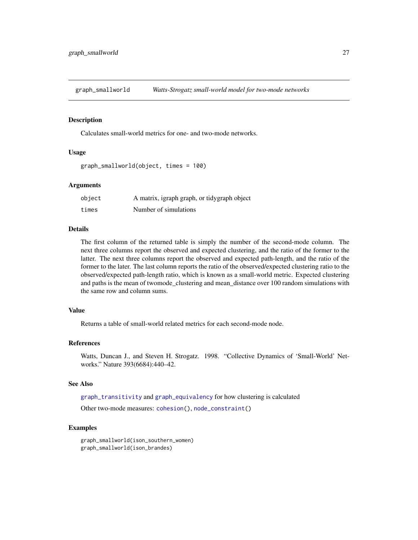<span id="page-26-1"></span><span id="page-26-0"></span>graph\_smallworld *Watts-Strogatz small-world model for two-mode networks*

# **Description**

Calculates small-world metrics for one- and two-mode networks.

#### Usage

```
graph_smallworld(object, times = 100)
```
# **Arguments**

| object | A matrix, igraph graph, or tidygraph object |
|--------|---------------------------------------------|
| times  | Number of simulations                       |

# Details

The first column of the returned table is simply the number of the second-mode column. The next three columns report the observed and expected clustering, and the ratio of the former to the latter. The next three columns report the observed and expected path-length, and the ratio of the former to the later. The last column reports the ratio of the observed/expected clustering ratio to the observed/expected path-length ratio, which is known as a small-world metric. Expected clustering and paths is the mean of twomode\_clustering and mean\_distance over 100 random simulations with the same row and column sums.

# Value

Returns a table of small-world related metrics for each second-mode node.

# References

Watts, Duncan J., and Steven H. Strogatz. 1998. "Collective Dynamics of 'Small-World' Networks." Nature 393(6684):440–42.

#### See Also

[graph\\_transitivity](#page-13-1) and [graph\\_equivalency](#page-13-1) for how clustering is calculated

Other two-mode measures: [cohesion\(](#page-13-2)), [node\\_constraint\(](#page-40-1))

```
graph_smallworld(ison_southern_women)
graph_smallworld(ison_brandes)
```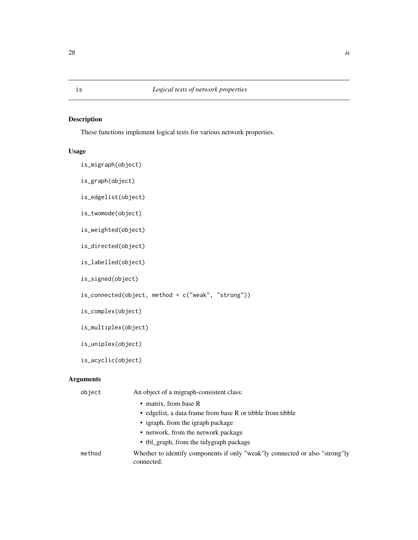These functions implement logical tests for various network properties.

# Usage

```
is_migraph(object)
```
is\_graph(object)

is\_edgelist(object)

is\_twomode(object)

is\_weighted(object)

is\_directed(object)

is\_labelled(object)

is\_signed(object)

is\_connected(object, method = c("weak", "strong"))

is\_complex(object)

```
is_multiplex(object)
```
is\_uniplex(object)

is\_acyclic(object)

# Arguments

| object | An object of a migraph-consistent class:                                                     |
|--------|----------------------------------------------------------------------------------------------|
|        | • matrix, from base R                                                                        |
|        | • edgelist, a data frame from base R or tibble from tibble                                   |
|        | • igraph, from the igraph package                                                            |
|        | • network, from the network package                                                          |
|        | • tbl_graph, from the tidygraph package                                                      |
| method | Whether to identify components if only "weak" ly connected or also "strong" ly<br>connected. |
|        |                                                                                              |

<span id="page-27-1"></span><span id="page-27-0"></span>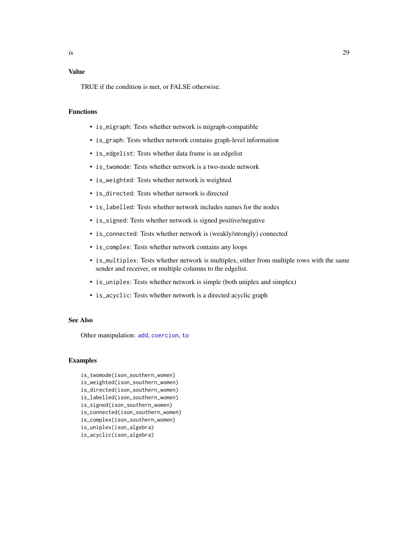# <span id="page-28-0"></span>Value

TRUE if the condition is met, or FALSE otherwise.

# Functions

- is\_migraph: Tests whether network is migraph-compatible
- is\_graph: Tests whether network contains graph-level information
- is\_edgelist: Tests whether data frame is an edgelist
- is\_twomode: Tests whether network is a two-mode network
- is\_weighted: Tests whether network is weighted
- is\_directed: Tests whether network is directed
- is\_labelled: Tests whether network includes names for the nodes
- is\_signed: Tests whether network is signed positive/negative
- is\_connected: Tests whether network is (weakly/strongly) connected
- is\_complex: Tests whether network contains any loops
- is\_multiplex: Tests whether network is multiplex, either from multiple rows with the same sender and receiver, or multiple columns to the edgelist.
- is\_uniplex: Tests whether network is simple (both uniplex and simplex)
- is\_acyclic: Tests whether network is a directed acyclic graph

#### See Also

Other manipulation: [add](#page-2-1), [coercion](#page-12-1), [to](#page-47-1)

# Examples

is\_twomode(ison\_southern\_women) is\_weighted(ison\_southern\_women) is\_directed(ison\_southern\_women) is\_labelled(ison\_southern\_women) is\_signed(ison\_southern\_women) is\_connected(ison\_southern\_women) is\_complex(ison\_southern\_women) is\_uniplex(ison\_algebra) is\_acyclic(ison\_algebra)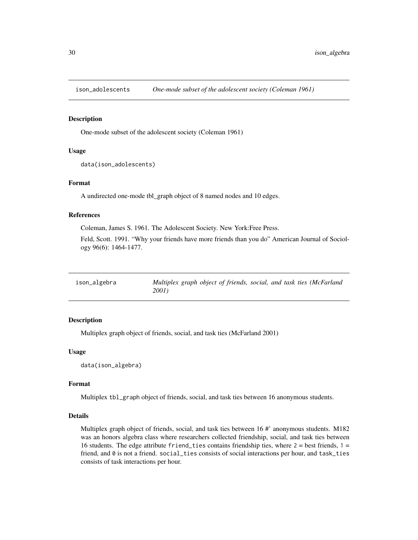<span id="page-29-0"></span>

One-mode subset of the adolescent society (Coleman 1961)

# Usage

```
data(ison_adolescents)
```
# Format

A undirected one-mode tbl\_graph object of 8 named nodes and 10 edges.

# References

Coleman, James S. 1961. The Adolescent Society. New York:Free Press.

Feld, Scott. 1991. "Why your friends have more friends than you do" American Journal of Sociology 96(6): 1464-1477.

ison\_algebra *Multiplex graph object of friends, social, and task ties (McFarland 2001)*

# Description

Multiplex graph object of friends, social, and task ties (McFarland 2001)

# Usage

data(ison\_algebra)

# Format

Multiplex tbl\_graph object of friends, social, and task ties between 16 anonymous students.

# Details

Multiplex graph object of friends, social, and task ties between 16 #' anonymous students. M182 was an honors algebra class where researchers collected friendship, social, and task ties between 16 students. The edge attribute friend\_ties contains friendship ties, where  $2 =$  best friends,  $1 =$ friend, and 0 is not a friend. social\_ties consists of social interactions per hour, and task\_ties consists of task interactions per hour.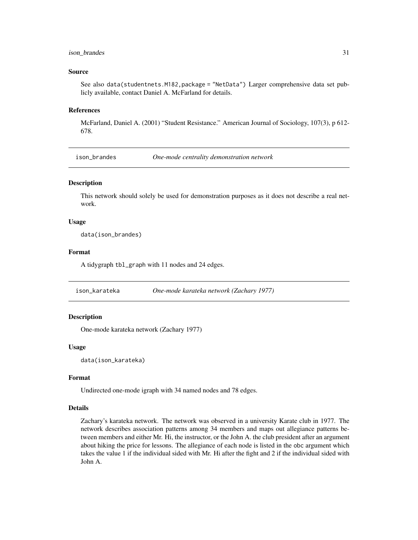# <span id="page-30-0"></span>ison\_brandes 31

#### Source

See also data(studentnets.M182,package = "NetData") Larger comprehensive data set publicly available, contact Daniel A. McFarland for details.

#### References

McFarland, Daniel A. (2001) "Student Resistance." American Journal of Sociology, 107(3), p 612- 678.

ison\_brandes *One-mode centrality demonstration network*

# Description

This network should solely be used for demonstration purposes as it does not describe a real network.

# Usage

data(ison\_brandes)

#### Format

A tidygraph tbl\_graph with 11 nodes and 24 edges.

ison\_karateka *One-mode karateka network (Zachary 1977)*

# Description

One-mode karateka network (Zachary 1977)

### Usage

data(ison\_karateka)

# Format

Undirected one-mode igraph with 34 named nodes and 78 edges.

#### Details

Zachary's karateka network. The network was observed in a university Karate club in 1977. The network describes association patterns among 34 members and maps out allegiance patterns between members and either Mr. Hi, the instructor, or the John A. the club president after an argument about hiking the price for lessons. The allegiance of each node is listed in the obc argument which takes the value 1 if the individual sided with Mr. Hi after the fight and 2 if the individual sided with John A.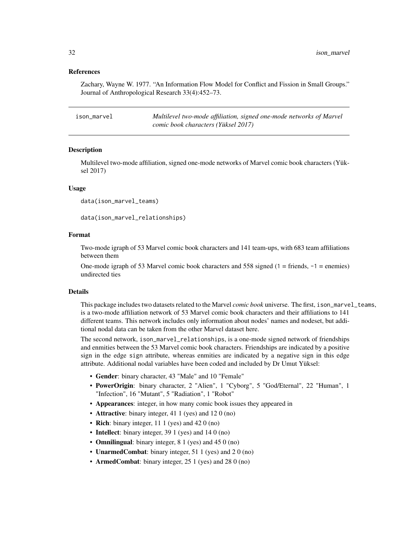# <span id="page-31-0"></span>References

Zachary, Wayne W. 1977. "An Information Flow Model for Conflict and Fission in Small Groups." Journal of Anthropological Research 33(4):452–73.

| ison marvel | Multilevel two-mode affiliation, signed one-mode networks of Marvel |
|-------------|---------------------------------------------------------------------|
|             | comic book characters (Yüksel 2017)                                 |

# Description

Multilevel two-mode affiliation, signed one-mode networks of Marvel comic book characters (Yüksel 2017)

#### Usage

```
data(ison_marvel_teams)
```
data(ison\_marvel\_relationships)

# Format

Two-mode igraph of 53 Marvel comic book characters and 141 team-ups, with 683 team affiliations between them

One-mode igraph of 53 Marvel comic book characters and 558 signed  $(1 =$  friends,  $-1 =$  enemies) undirected ties

# Details

This package includes two datasets related to the Marvel *comic book* universe. The first, ison\_marvel\_teams, is a two-mode affiliation network of 53 Marvel comic book characters and their affiliations to 141 different teams. This network includes only information about nodes' names and nodeset, but additional nodal data can be taken from the other Marvel dataset here.

The second network, ison\_marvel\_relationships, is a one-mode signed network of friendships and enmities between the 53 Marvel comic book characters. Friendships are indicated by a positive sign in the edge sign attribute, whereas enmities are indicated by a negative sign in this edge attribute. Additional nodal variables have been coded and included by Dr Umut Yüksel:

- Gender: binary character, 43 "Male" and 10 "Female"
- PowerOrigin: binary character, 2 "Alien", 1 "Cyborg", 5 "God/Eternal", 22 "Human", 1 "Infection", 16 "Mutant", 5 "Radiation", 1 "Robot"
- Appearances: integer, in how many comic book issues they appeared in
- **Attractive**: binary integer, 41 1 (yes) and 12 0 (no)
- Rich: binary integer, 11 1 (yes) and 42 0 (no)
- Intellect: binary integer, 39 1 (yes) and 14 0 (no)
- **Omnilingual**: binary integer, 8 1 (yes) and 45 0 (no)
- **UnarmedCombat:** binary integer, 51 1 (yes) and 2 0 (no)
- ArmedCombat: binary integer, 25 1 (yes) and 28 0 (no)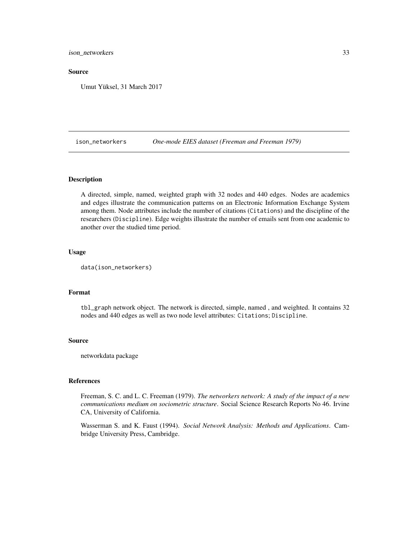<span id="page-32-0"></span>ison\_networkers 33

#### Source

Umut Yüksel, 31 March 2017

ison\_networkers *One-mode EIES dataset (Freeman and Freeman 1979)*

# Description

A directed, simple, named, weighted graph with 32 nodes and 440 edges. Nodes are academics and edges illustrate the communication patterns on an Electronic Information Exchange System among them. Node attributes include the number of citations (Citations) and the discipline of the researchers (Discipline). Edge weights illustrate the number of emails sent from one academic to another over the studied time period.

# Usage

```
data(ison_networkers)
```
# Format

tbl\_graph network object. The network is directed, simple, named , and weighted. It contains 32 nodes and 440 edges as well as two node level attributes: Citations; Discipline.

#### Source

networkdata package

#### References

Freeman, S. C. and L. C. Freeman (1979). *The networkers network: A study of the impact of a new communications medium on sociometric structure*. Social Science Research Reports No 46. Irvine CA, University of California.

Wasserman S. and K. Faust (1994). *Social Network Analysis: Methods and Applications*. Cambridge University Press, Cambridge.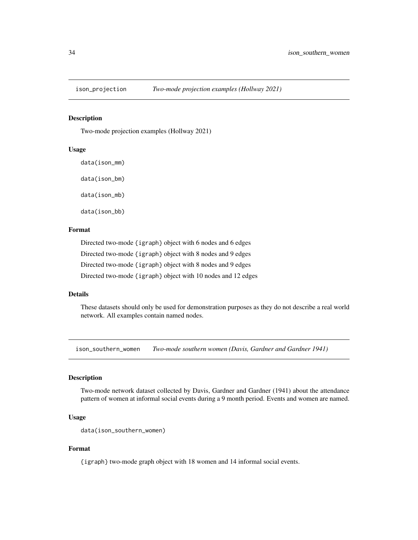<span id="page-33-0"></span>

Two-mode projection examples (Hollway 2021)

# Usage

data(ison\_mm)

data(ison\_bm)

data(ison\_mb)

data(ison\_bb)

## Format

Directed two-mode {igraph} object with 6 nodes and 6 edges Directed two-mode {igraph} object with 8 nodes and 9 edges Directed two-mode {igraph} object with 8 nodes and 9 edges Directed two-mode {igraph} object with 10 nodes and 12 edges

# Details

These datasets should only be used for demonstration purposes as they do not describe a real world network. All examples contain named nodes.

ison\_southern\_women *Two-mode southern women (Davis, Gardner and Gardner 1941)*

# Description

Two-mode network dataset collected by Davis, Gardner and Gardner (1941) about the attendance pattern of women at informal social events during a 9 month period. Events and women are named.

# Usage

```
data(ison_southern_women)
```
# Format

{igraph} two-mode graph object with 18 women and 14 informal social events.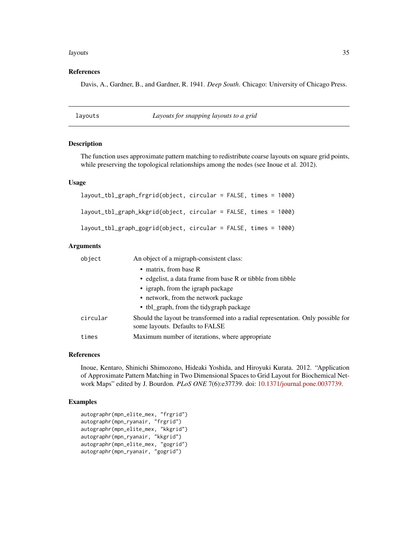#### <span id="page-34-0"></span>layouts 35

## References

Davis, A., Gardner, B., and Gardner, R. 1941. *Deep South*. Chicago: University of Chicago Press.

layouts *Layouts for snapping layouts to a grid*

#### **Description**

The function uses approximate pattern matching to redistribute coarse layouts on square grid points, while preserving the topological relationships among the nodes (see Inoue et al. 2012).

#### Usage

```
layout_tbl_graph_frgrid(object, circular = FALSE, times = 1000)
layout_tbl_graph_kkgrid(object, circular = FALSE, times = 1000)
layout_tbl_graph_gogrid(object, circular = FALSE, times = 1000)
```
#### Arguments

| object   | An object of a migraph-consistent class:                                                                            |
|----------|---------------------------------------------------------------------------------------------------------------------|
|          | • matrix, from base R                                                                                               |
|          | • edgelist, a data frame from base R or tibble from tibble                                                          |
|          | • igraph, from the igraph package                                                                                   |
|          | • network, from the network package                                                                                 |
|          | • tbl_graph, from the tidygraph package                                                                             |
| circular | Should the layout be transformed into a radial representation. Only possible for<br>some layouts. Defaults to FALSE |
| times    | Maximum number of iterations, where appropriate                                                                     |

#### References

Inoue, Kentaro, Shinichi Shimozono, Hideaki Yoshida, and Hiroyuki Kurata. 2012. "Application of Approximate Pattern Matching in Two Dimensional Spaces to Grid Layout for Biochemical Network Maps" edited by J. Bourdon. *PLoS ONE* 7(6):e37739. doi: [10.1371/journal.pone.0037739.](https://doi.org/10.1371/journal.pone.0037739)

```
autographr(mpn_elite_mex, "frgrid")
autographr(mpn_ryanair, "frgrid")
autographr(mpn_elite_mex, "kkgrid")
autographr(mpn_ryanair, "kkgrid")
autographr(mpn_elite_mex, "gogrid")
autographr(mpn_ryanair, "gogrid")
```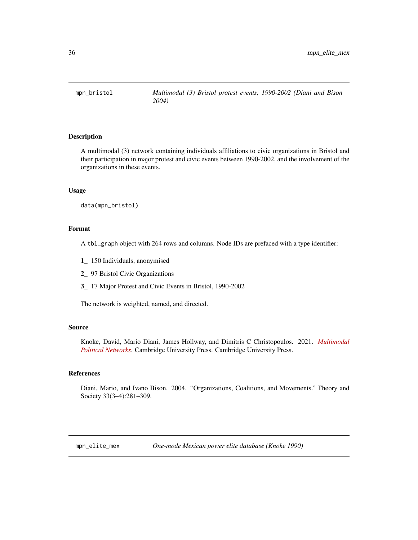<span id="page-35-0"></span>

A multimodal (3) network containing individuals affiliations to civic organizations in Bristol and their participation in major protest and civic events between 1990-2002, and the involvement of the organizations in these events.

#### Usage

data(mpn\_bristol)

# Format

A tbl\_graph object with 264 rows and columns. Node IDs are prefaced with a type identifier:

- 1\_ 150 Individuals, anonymised
- 2\_ 97 Bristol Civic Organizations
- 3\_ 17 Major Protest and Civic Events in Bristol, 1990-2002

The network is weighted, named, and directed.

#### Source

Knoke, David, Mario Diani, James Hollway, and Dimitris C Christopoulos. 2021. *[Multimodal](https://www.cambridge.org/core/books/multimodal-political-networks/43EE8C192A1B0DCD65B4D9B9A7842128) [Political Networks](https://www.cambridge.org/core/books/multimodal-political-networks/43EE8C192A1B0DCD65B4D9B9A7842128)*. Cambridge University Press. Cambridge University Press.

#### References

Diani, Mario, and Ivano Bison. 2004. "Organizations, Coalitions, and Movements." Theory and Society 33(3–4):281–309.

mpn\_elite\_mex *One-mode Mexican power elite database (Knoke 1990)*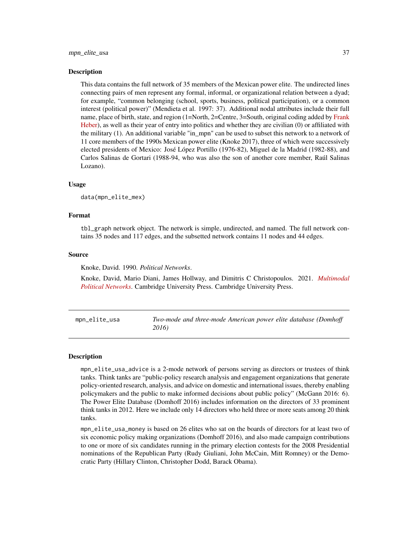<span id="page-36-0"></span>This data contains the full network of 35 members of the Mexican power elite. The undirected lines connecting pairs of men represent any formal, informal, or organizational relation between a dyad; for example, "common belonging (school, sports, business, political participation), or a common interest (political power)" (Mendieta et al. 1997: 37). Additional nodal attributes include their full name, place of birth, state, and region (1=North, 2=Centre, 3=South, original coding added by [Frank](https://jameshollway.com/courses/ison/heber_post) [Heber\)](https://jameshollway.com/courses/ison/heber_post), as well as their year of entry into politics and whether they are civilian (0) or affiliated with the military (1). An additional variable "in\_mpn" can be used to subset this network to a network of 11 core members of the 1990s Mexican power elite (Knoke 2017), three of which were successively elected presidents of Mexico: José López Portillo (1976-82), Miguel de la Madrid (1982-88), and Carlos Salinas de Gortari (1988-94, who was also the son of another core member, Raúl Salinas Lozano).

#### Usage

data(mpn\_elite\_mex)

#### Format

tbl\_graph network object. The network is simple, undirected, and named. The full network contains 35 nodes and 117 edges, and the subsetted network contains 11 nodes and 44 edges.

#### Source

Knoke, David. 1990. *Political Networks*.

Knoke, David, Mario Diani, James Hollway, and Dimitris C Christopoulos. 2021. *[Multimodal](https://www.cambridge.org/core/books/multimodal-political-networks/43EE8C192A1B0DCD65B4D9B9A7842128) [Political Networks](https://www.cambridge.org/core/books/multimodal-political-networks/43EE8C192A1B0DCD65B4D9B9A7842128)*. Cambridge University Press. Cambridge University Press.

mpn\_elite\_usa *Two-mode and three-mode American power elite database (Domhoff 2016)*

#### **Description**

mpn\_elite\_usa\_advice is a 2-mode network of persons serving as directors or trustees of think tanks. Think tanks are "public-policy research analysis and engagement organizations that generate policy-oriented research, analysis, and advice on domestic and international issues, thereby enabling policymakers and the public to make informed decisions about public policy" (McGann 2016: 6). The Power Elite Database (Domhoff 2016) includes information on the directors of 33 prominent think tanks in 2012. Here we include only 14 directors who held three or more seats among 20 think tanks.

mpn\_elite\_usa\_money is based on 26 elites who sat on the boards of directors for at least two of six economic policy making organizations (Domhoff 2016), and also made campaign contributions to one or more of six candidates running in the primary election contests for the 2008 Presidential nominations of the Republican Party (Rudy Giuliani, John McCain, Mitt Romney) or the Democratic Party (Hillary Clinton, Christopher Dodd, Barack Obama).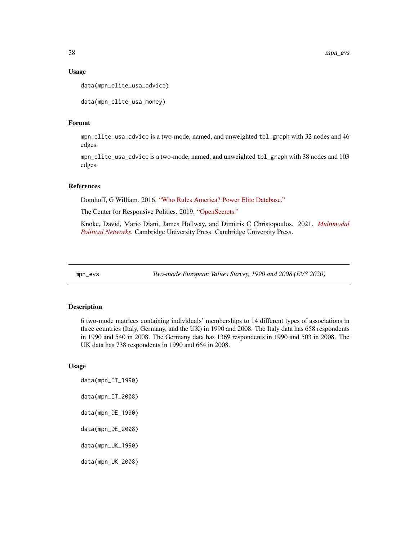#### Usage

```
data(mpn_elite_usa_advice)
```

```
data(mpn_elite_usa_money)
```
# Format

mpn\_elite\_usa\_advice is a two-mode, named, and unweighted tbl\_graph with 32 nodes and 46 edges.

mpn\_elite\_usa\_advice is a two-mode, named, and unweighted tbl\_graph with 38 nodes and 103 edges.

#### References

Domhoff, G William. 2016. ["Who Rules America? Power Elite Database."](https://whorulesamerica.ucsc.edu/power_elite/)

The Center for Responsive Politics. 2019. ["OpenSecrets."](http://www.opensecrets.org)

Knoke, David, Mario Diani, James Hollway, and Dimitris C Christopoulos. 2021. *[Multimodal](https://www.cambridge.org/core/books/multimodal-political-networks/43EE8C192A1B0DCD65B4D9B9A7842128) [Political Networks](https://www.cambridge.org/core/books/multimodal-political-networks/43EE8C192A1B0DCD65B4D9B9A7842128)*. Cambridge University Press. Cambridge University Press.

mpn\_evs *Two-mode European Values Survey, 1990 and 2008 (EVS 2020)*

# Description

6 two-mode matrices containing individuals' memberships to 14 different types of associations in three countries (Italy, Germany, and the UK) in 1990 and 2008. The Italy data has 658 respondents in 1990 and 540 in 2008. The Germany data has 1369 respondents in 1990 and 503 in 2008. The UK data has 738 respondents in 1990 and 664 in 2008.

#### Usage

data(mpn\_IT\_1990) data(mpn\_IT\_2008) data(mpn\_DE\_1990) data(mpn\_DE\_2008) data(mpn\_UK\_1990) data(mpn\_UK\_2008)

<span id="page-37-0"></span>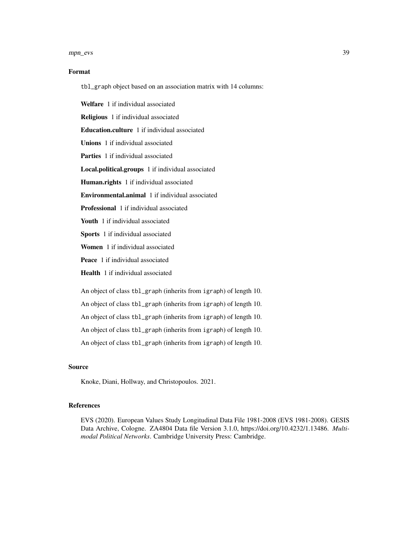#### mpn\_evs 39

# Format

tbl\_graph object based on an association matrix with 14 columns:

Welfare 1 if individual associated Religious 1 if individual associated Education.culture 1 if individual associated Unions 1 if individual associated Parties 1 if individual associated Local.political.groups 1 if individual associated Human.rights 1 if individual associated Environmental.animal 1 if individual associated Professional 1 if individual associated Youth 1 if individual associated Sports 1 if individual associated Women 1 if individual associated Peace 1 if individual associated Health 1 if individual associated An object of class tbl\_graph (inherits from igraph) of length 10. An object of class tbl\_graph (inherits from igraph) of length 10.

An object of class tbl\_graph (inherits from igraph) of length 10.

An object of class tbl\_graph (inherits from igraph) of length 10.

An object of class tbl\_graph (inherits from igraph) of length 10.

# Source

Knoke, Diani, Hollway, and Christopoulos. 2021.

# References

EVS (2020). European Values Study Longitudinal Data File 1981-2008 (EVS 1981-2008). GESIS Data Archive, Cologne. ZA4804 Data file Version 3.1.0, https://doi.org/10.4232/1.13486. *Multimodal Political Networks*. Cambridge University Press: Cambridge.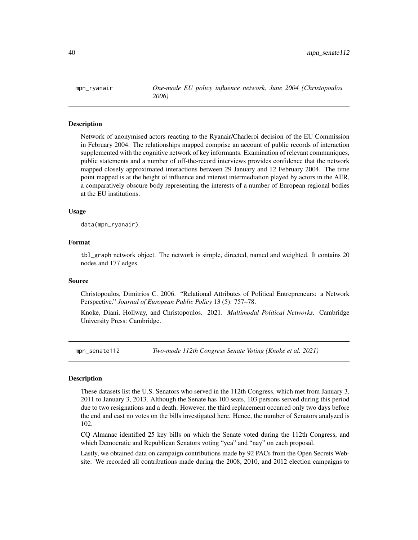<span id="page-39-0"></span>mpn\_ryanair *One-mode EU policy influence network, June 2004 (Christopoulos 2006)*

# **Description**

Network of anonymised actors reacting to the Ryanair/Charleroi decision of the EU Commission in February 2004. The relationships mapped comprise an account of public records of interaction supplemented with the cognitive network of key informants. Examination of relevant communiques, public statements and a number of off-the-record interviews provides confidence that the network mapped closely approximated interactions between 29 January and 12 February 2004. The time point mapped is at the height of influence and interest intermediation played by actors in the AER, a comparatively obscure body representing the interests of a number of European regional bodies at the EU institutions.

#### Usage

data(mpn\_ryanair)

# Format

tbl\_graph network object. The network is simple, directed, named and weighted. It contains 20 nodes and 177 edges.

#### Source

Christopoulos, Dimitrios C. 2006. "Relational Attributes of Political Entrepreneurs: a Network Perspective." *Journal of European Public Policy* 13 (5): 757–78.

Knoke, Diani, Hollway, and Christopoulos. 2021. *Multimodal Political Networks*. Cambridge University Press: Cambridge.

mpn\_senate112 *Two-mode 112th Congress Senate Voting (Knoke et al. 2021)*

# Description

These datasets list the U.S. Senators who served in the 112th Congress, which met from January 3, 2011 to January 3, 2013. Although the Senate has 100 seats, 103 persons served during this period due to two resignations and a death. However, the third replacement occurred only two days before the end and cast no votes on the bills investigated here. Hence, the number of Senators analyzed is 102.

CQ Almanac identified 25 key bills on which the Senate voted during the 112th Congress, and which Democratic and Republican Senators voting "yea" and "nay" on each proposal.

Lastly, we obtained data on campaign contributions made by 92 PACs from the Open Secrets Website. We recorded all contributions made during the 2008, 2010, and 2012 election campaigns to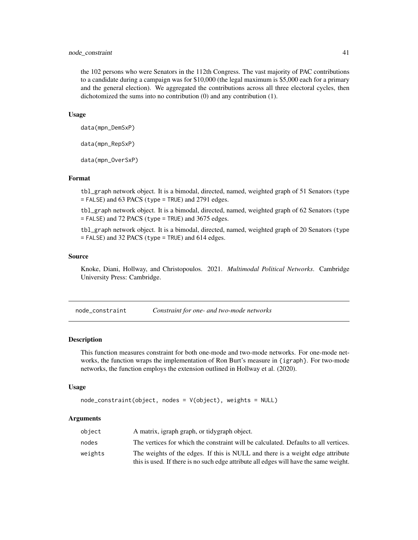# <span id="page-40-0"></span>node\_constraint 41

the 102 persons who were Senators in the 112th Congress. The vast majority of PAC contributions to a candidate during a campaign was for \$10,000 (the legal maximum is \$5,000 each for a primary and the general election). We aggregated the contributions across all three electoral cycles, then dichotomized the sums into no contribution (0) and any contribution (1).

#### Usage

```
data(mpn_DemSxP)
```
data(mpn\_RepSxP)

data(mpn\_OverSxP)

# Format

tbl\_graph network object. It is a bimodal, directed, named, weighted graph of 51 Senators (type = FALSE) and 63 PACS (type = TRUE) and 2791 edges.

tbl\_graph network object. It is a bimodal, directed, named, weighted graph of 62 Senators (type = FALSE) and 72 PACS (type = TRUE) and 3675 edges.

tbl\_graph network object. It is a bimodal, directed, named, weighted graph of 20 Senators (type = FALSE) and 32 PACS (type = TRUE) and 614 edges.

#### Source

Knoke, Diani, Hollway, and Christopoulos. 2021. *Multimodal Political Networks*. Cambridge University Press: Cambridge.

<span id="page-40-1"></span>node\_constraint *Constraint for one- and two-mode networks*

#### Description

This function measures constraint for both one-mode and two-mode networks. For one-mode networks, the function wraps the implementation of Ron Burt's measure in {igraph}. For two-mode networks, the function employs the extension outlined in Hollway et al. (2020).

#### Usage

```
node_constraint(object, nodes = V(object), weights = NULL)
```
#### Arguments

| object  | A matrix, igraph graph, or tidygraph object.                                          |
|---------|---------------------------------------------------------------------------------------|
| nodes   | The vertices for which the constraint will be calculated. Defaults to all vertices.   |
| weights | The weights of the edges. If this is NULL and there is a weight edge attribute        |
|         | this is used. If there is no such edge attribute all edges will have the same weight. |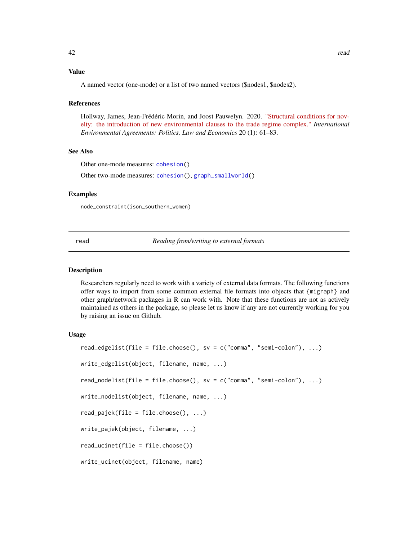# <span id="page-41-0"></span>Value

## **References**

Hollway, James, Jean-Frédéric Morin, and Joost Pauwelyn. 2020. ["Structural conditions for nov](https://link.springer.com/article/10.1007/s10784-019-09464-5)[elty: the introduction of new environmental clauses to the trade regime complex."](https://link.springer.com/article/10.1007/s10784-019-09464-5) *International Environmental Agreements: Politics, Law and Economics* 20 (1): 61–83.

# See Also

Other one-mode measures: [cohesion\(](#page-13-2))

Other two-mode measures: [cohesion\(](#page-13-2)), [graph\\_smallworld\(](#page-26-1))

# Examples

node\_constraint(ison\_southern\_women)

read *Reading from/writing to external formats*

# **Description**

Researchers regularly need to work with a variety of external data formats. The following functions offer ways to import from some common external file formats into objects that {migraph} and other graph/network packages in R can work with. Note that these functions are not as actively maintained as others in the package, so please let us know if any are not currently working for you by raising an issue on Github.

# Usage

```
read_edgelist(file = file.choose(), sv = c("comma", "semi-colon"), \dots)
write_edgelist(object, filename, name, ...)
read_nodelist(file = file.choose(), sv = c("comma", "semi-colon"), ...)
write_nodelist(object, filename, name, ...)
read\_pajek(file = filechoose(), ...)write_pajek(object, filename, ...)
read_ucinet(file = file.choose())
write_ucinet(object, filename, name)
```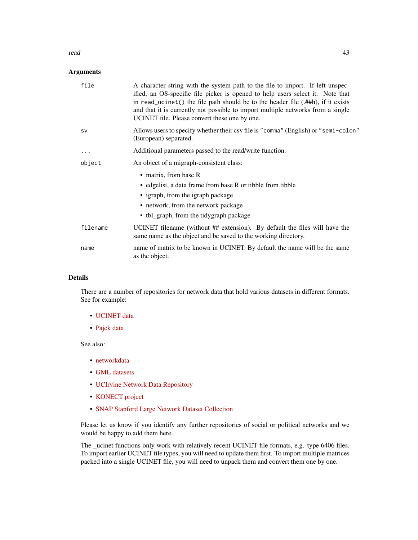#### read and the set of the set of the set of the set of the set of the set of the set of the set of the set of the set of the set of the set of the set of the set of the set of the set of the set of the set of the set of the

# Arguments

| file      | A character string with the system path to the file to import. If left unspec-<br>ified, an OS-specific file picker is opened to help users select it. Note that<br>in read_ucinet() the file path should be to the header file $(A#th)$ , if it exists<br>and that it is currently not possible to import multiple networks from a single<br>UCINET file. Please convert these one by one. |
|-----------|---------------------------------------------------------------------------------------------------------------------------------------------------------------------------------------------------------------------------------------------------------------------------------------------------------------------------------------------------------------------------------------------|
| <b>SV</b> | Allows users to specify whether their csv file is "comma" (English) or "semi-colon"<br>(European) separated.                                                                                                                                                                                                                                                                                |
| $\cdots$  | Additional parameters passed to the read/write function.                                                                                                                                                                                                                                                                                                                                    |
| object    | An object of a migraph-consistent class:                                                                                                                                                                                                                                                                                                                                                    |
|           | • matrix, from base R<br>• edgelist, a data frame from base R or tibble from tibble<br>• igraph, from the igraph package<br>• network, from the network package<br>• tbl_graph, from the tidygraph package                                                                                                                                                                                  |
| filename  | UCINET filename (without ## extension). By default the files will have the<br>same name as the object and be saved to the working directory.                                                                                                                                                                                                                                                |
| name      | name of matrix to be known in UCINET. By default the name will be the same<br>as the object.                                                                                                                                                                                                                                                                                                |

# Details

There are a number of repositories for network data that hold various datasets in different formats. See for example:

- [UCINET data](https://sites.google.com/site/ucinetsoftware/datasets?authuser=0)
- [Pajek data](http://vlado.fmf.uni-lj.si/pub/networks/data/)

See also:

- [networkdata](http://networkdata.schochastics.net/)
- [GML datasets](http://www-personal.umich.edu/~mejn/netdata/)
- [UCIrvine Network Data Repository](http://networkdata.ics.uci.edu/)
- [KONECT project](http://konect.cc/)
- [SNAP Stanford Large Network Dataset Collection](http://snap.stanford.edu/data/)

Please let us know if you identify any further repositories of social or political networks and we would be happy to add them here.

The \_ucinet functions only work with relatively recent UCINET file formats, e.g. type 6406 files. To import earlier UCINET file types, you will need to update them first. To import multiple matrices packed into a single UCINET file, you will need to unpack them and convert them one by one.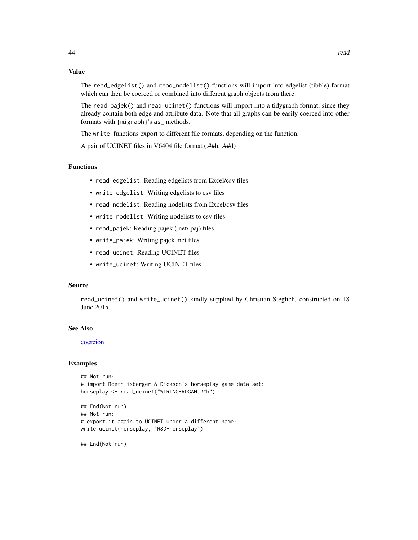# Value

The read\_edgelist() and read\_nodelist() functions will import into edgelist (tibble) format which can then be coerced or combined into different graph objects from there.

The read\_pajek() and read\_ucinet() functions will import into a tidygraph format, since they already contain both edge and attribute data. Note that all graphs can be easily coerced into other formats with {migraph}'s as\_ methods.

The write\_functions export to different file formats, depending on the function.

A pair of UCINET files in V6404 file format (.##h, .##d)

#### Functions

- read\_edgelist: Reading edgelists from Excel/csv files
- write\_edgelist: Writing edgelists to csv files
- read\_nodelist: Reading nodelists from Excel/csv files
- write\_nodelist: Writing nodelists to csv files
- read\_pajek: Reading pajek (.net/.paj) files
- write\_pajek: Writing pajek .net files
- read\_ucinet: Reading UCINET files
- write\_ucinet: Writing UCINET files

# Source

read\_ucinet() and write\_ucinet() kindly supplied by Christian Steglich, constructed on 18 June 2015.

#### See Also

#### [coercion](#page-12-1)

#### Examples

```
## Not run:
# import Roethlisberger & Dickson's horseplay game data set:
horseplay <- read_ucinet("WIRING-RDGAM.##h")
## End(Not run)
## Not run:
# export it again to UCINET under a different name:
write_ucinet(horseplay, "R&D-horseplay")
```
## End(Not run)

<span id="page-43-0"></span>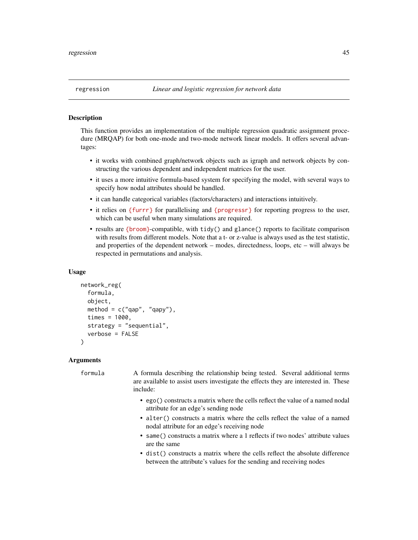<span id="page-44-0"></span>This function provides an implementation of the multiple regression quadratic assignment procedure (MRQAP) for both one-mode and two-mode network linear models. It offers several advantages:

- it works with combined graph/network objects such as igraph and network objects by constructing the various dependent and independent matrices for the user.
- it uses a more intuitive formula-based system for specifying the model, with several ways to specify how nodal attributes should be handled.
- it can handle categorical variables (factors/characters) and interactions intuitively.
- it relies on [{furrr}](https://furrr.futureverse.org) for parallelising and [{progressr}](https://progressr.futureverse.org) for reporting progress to the user, which can be useful when many simulations are required.
- results are [{broom}](https://broom.tidymodels.org)-compatible, with tidy() and glance() reports to facilitate comparison with results from different models. Note that a t- or z-value is always used as the test statistic, and properties of the dependent network – modes, directedness, loops, etc – will always be respected in permutations and analysis.

#### Usage

```
network_reg(
  formula,
  object,
  method = c("qap", "qapy"),
  times = 1000,
  strategy = "sequential",
  verbose = FALSE
)
```
# Arguments

formula A formula describing the relationship being tested. Several additional terms are available to assist users investigate the effects they are interested in. These include:

- ego() constructs a matrix where the cells reflect the value of a named nodal attribute for an edge's sending node
- alter() constructs a matrix where the cells reflect the value of a named nodal attribute for an edge's receiving node
- same() constructs a matrix where a 1 reflects if two nodes' attribute values are the same
- dist() constructs a matrix where the cells reflect the absolute difference between the attribute's values for the sending and receiving nodes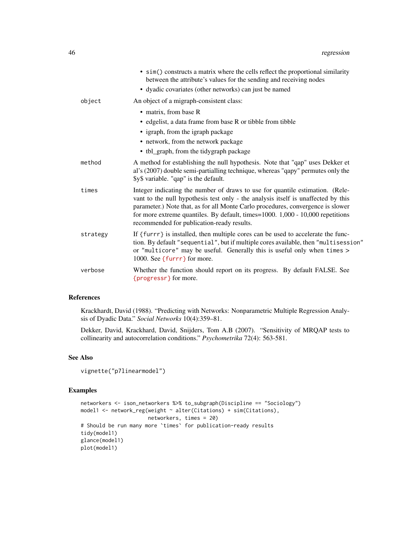|          | • sim() constructs a matrix where the cells reflect the proportional similarity<br>between the attribute's values for the sending and receiving nodes                                                                                                                                                                                                                                 |
|----------|---------------------------------------------------------------------------------------------------------------------------------------------------------------------------------------------------------------------------------------------------------------------------------------------------------------------------------------------------------------------------------------|
|          | • dyadic covariates (other networks) can just be named                                                                                                                                                                                                                                                                                                                                |
| object   | An object of a migraph-consistent class:                                                                                                                                                                                                                                                                                                                                              |
|          | • matrix, from base R                                                                                                                                                                                                                                                                                                                                                                 |
|          | • edgelist, a data frame from base R or tibble from tibble                                                                                                                                                                                                                                                                                                                            |
|          | • igraph, from the igraph package                                                                                                                                                                                                                                                                                                                                                     |
|          | • network, from the network package                                                                                                                                                                                                                                                                                                                                                   |
|          | • tbl_graph, from the tidygraph package                                                                                                                                                                                                                                                                                                                                               |
| method   | A method for establishing the null hypothesis. Note that "qap" uses Dekker et<br>al's (2007) double semi-partialling technique, whereas "qapy" permutes only the<br>\$y\$ variable. "qap" is the default.                                                                                                                                                                             |
| times    | Integer indicating the number of draws to use for quantile estimation. (Rele-<br>vant to the null hypothesis test only - the analysis itself is unaffected by this<br>parameter.) Note that, as for all Monte Carlo procedures, convergence is slower<br>for more extreme quantiles. By default, times=1000. 1,000 - 10,000 repetitions<br>recommended for publication-ready results. |
| strategy | If {furrr} is installed, then multiple cores can be used to accelerate the func-<br>tion. By default "sequential", but if multiple cores available, then "multisession"<br>or "multicore" may be useful. Generally this is useful only when times ><br>1000. See {furrr} for more.                                                                                                    |
| verbose  | Whether the function should report on its progress. By default FALSE. See<br>{progressr} for more.                                                                                                                                                                                                                                                                                    |

# References

Krackhardt, David (1988). "Predicting with Networks: Nonparametric Multiple Regression Analysis of Dyadic Data." *Social Networks* 10(4):359–81.

Dekker, David, Krackhard, David, Snijders, Tom A.B (2007). "Sensitivity of MRQAP tests to collinearity and autocorrelation conditions." *Psychometrika* 72(4): 563-581.

# See Also

```
vignette("p7linearmodel")
```

```
networkers <- ison_networkers %>% to_subgraph(Discipline == "Sociology")
model1 <- network_reg(weight ~ alter(Citations) + sim(Citations),
                     networkers, times = 20)
# Should be run many more `times` for publication-ready results
tidy(model1)
glance(model1)
plot(model1)
```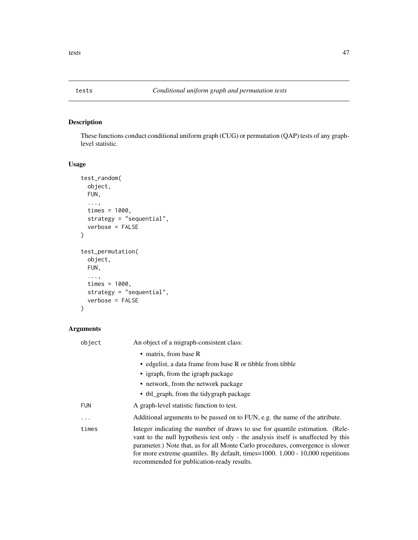<span id="page-46-0"></span>

These functions conduct conditional uniform graph (CUG) or permutation (QAP) tests of any graphlevel statistic.

# Usage

```
test_random(
 object,
 FUN,
  ...,
  times = 1000,
 strategy = "sequential",
  verbose = FALSE
)
test_permutation(
 object,
 FUN,
  ...,
  times = 1000,
 strategy = "sequential",
 verbose = FALSE
\mathcal{L}
```
# Arguments

| object     | An object of a migraph-consistent class:                                                                                                                                                                                                                                                                                                                                              |
|------------|---------------------------------------------------------------------------------------------------------------------------------------------------------------------------------------------------------------------------------------------------------------------------------------------------------------------------------------------------------------------------------------|
|            | • matrix, from base R                                                                                                                                                                                                                                                                                                                                                                 |
|            | • edgelist, a data frame from base R or tibble from tibble                                                                                                                                                                                                                                                                                                                            |
|            | • igraph, from the igraph package                                                                                                                                                                                                                                                                                                                                                     |
|            | • network, from the network package                                                                                                                                                                                                                                                                                                                                                   |
|            | • tbl_graph, from the tidygraph package                                                                                                                                                                                                                                                                                                                                               |
| <b>FUN</b> | A graph-level statistic function to test.                                                                                                                                                                                                                                                                                                                                             |
| $\cdots$   | Additional arguments to be passed on to FUN, e.g. the name of the attribute.                                                                                                                                                                                                                                                                                                          |
| times      | Integer indicating the number of draws to use for quantile estimation. (Rele-<br>vant to the null hypothesis test only - the analysis itself is unaffected by this<br>parameter.) Note that, as for all Monte Carlo procedures, convergence is slower<br>for more extreme quantiles. By default, times=1000. 1,000 - 10,000 repetitions<br>recommended for publication-ready results. |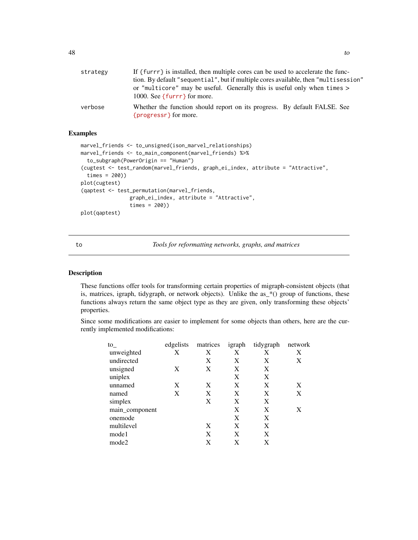<span id="page-47-0"></span>

| strategy | If {furrr} is installed, then multiple cores can be used to accelerate the func-<br>tion. By default "sequential", but if multiple cores available, then "multisession"<br>or "multicore" may be useful. Generally this is useful only when times $>$<br>1000. See { $furr$ } for more. |
|----------|-----------------------------------------------------------------------------------------------------------------------------------------------------------------------------------------------------------------------------------------------------------------------------------------|
| verbose  | Whether the function should report on its progress. By default FALSE. See<br>${program}$ for more.                                                                                                                                                                                      |

# Examples

```
marvel_friends <- to_unsigned(ison_marvel_relationships)
marvel_friends <- to_main_component(marvel_friends) %>%
  to_subgraph(PowerOrigin == "Human")
(cugtest <- test_random(marvel_friends, graph_ei_index, attribute = "Attractive",
  times = 200))
plot(cugtest)
(qaptest <- test_permutation(marvel_friends,
                graph_ei_index, attribute = "Attractive",
                times = 200))
plot(qaptest)
```
<span id="page-47-1"></span>to *Tools for reformatting networks, graphs, and matrices*

# <span id="page-47-2"></span>Description

These functions offer tools for transforming certain properties of migraph-consistent objects (that is, matrices, igraph, tidygraph, or network objects). Unlike the as\_\*() group of functions, these functions always return the same object type as they are given, only transforming these objects' properties.

Since some modifications are easier to implement for some objects than others, here are the currently implemented modifications:

| $\mathrm{to}$  | edgelists | matrices | igraph | tidygraph | network |
|----------------|-----------|----------|--------|-----------|---------|
| unweighted     | Х         | X        | X      | X         | X       |
| undirected     |           | X        | X      | X         | X       |
| unsigned       | X         | X        | X      | X         |         |
| uniplex        |           |          | X      | X         |         |
| unnamed        | X         | X        | X      | X         | X       |
| named          | X         | X        | X      | X         | X       |
| simplex        |           | X        | X      | X         |         |
| main_component |           |          | X      | X         | X       |
| onemode        |           |          | X      | X         |         |
| multilevel     |           | X        | X      | X         |         |
| mode1          |           | X        | X      | X         |         |
| mode2          |           | X        | X      | X         |         |
|                |           |          |        |           |         |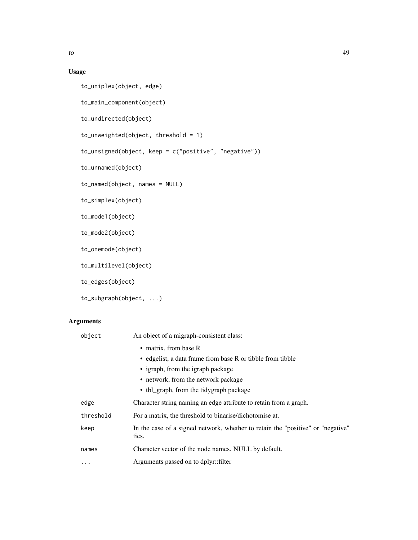# Usage

```
to_uniplex(object, edge)
to_main_component(object)
to_undirected(object)
to_unweighted(object, threshold = 1)
to_unsigned(object, keep = c("positive", "negative"))
to_unnamed(object)
to_named(object, names = NULL)
to_simplex(object)
to_mode1(object)
to_mode2(object)
to_onemode(object)
to_multilevel(object)
to_edges(object)
```

```
to_subgraph(object, ...)
```
# Arguments

| object    | An object of a migraph-consistent class:                                                 |
|-----------|------------------------------------------------------------------------------------------|
|           | • matrix, from base R                                                                    |
|           | • edgelist, a data frame from base R or tibble from tibble                               |
|           | • igraph, from the igraph package                                                        |
|           | • network, from the network package                                                      |
|           | • tbl_graph, from the tidygraph package                                                  |
| edge      | Character string naming an edge attribute to retain from a graph.                        |
| threshold | For a matrix, the threshold to binarise/dichotomise at.                                  |
| keep      | In the case of a signed network, whether to retain the "positive" or "negative"<br>ties. |
| names     | Character vector of the node names. NULL by default.                                     |
| $\cdots$  | Arguments passed on to dplyr::filter                                                     |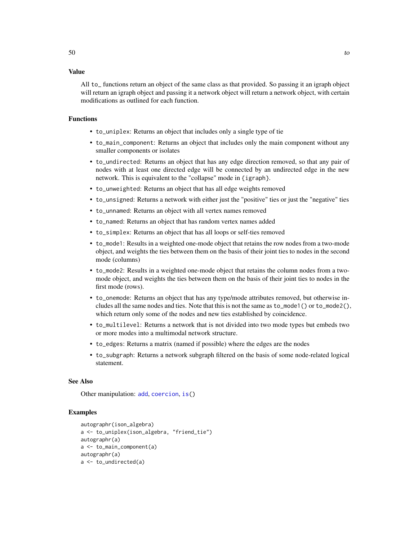<span id="page-49-0"></span>All to\_ functions return an object of the same class as that provided. So passing it an igraph object will return an igraph object and passing it a network object will return a network object, with certain modifications as outlined for each function.

#### Functions

- to\_uniplex: Returns an object that includes only a single type of tie
- to\_main\_component: Returns an object that includes only the main component without any smaller components or isolates
- to\_undirected: Returns an object that has any edge direction removed, so that any pair of nodes with at least one directed edge will be connected by an undirected edge in the new network. This is equivalent to the "collapse" mode in {igraph}.
- to\_unweighted: Returns an object that has all edge weights removed
- to\_unsigned: Returns a network with either just the "positive" ties or just the "negative" ties
- to\_unnamed: Returns an object with all vertex names removed
- to\_named: Returns an object that has random vertex names added
- to\_simplex: Returns an object that has all loops or self-ties removed
- to\_mode1: Results in a weighted one-mode object that retains the row nodes from a two-mode object, and weights the ties between them on the basis of their joint ties to nodes in the second mode (columns)
- to\_mode2: Results in a weighted one-mode object that retains the column nodes from a twomode object, and weights the ties between them on the basis of their joint ties to nodes in the first mode (rows).
- to\_onemode: Returns an object that has any type/mode attributes removed, but otherwise includes all the same nodes and ties. Note that this is not the same as  $to_{mod}e_1()$  or  $to_{mod}e_2($ , which return only some of the nodes and new ties established by coincidence.
- to\_multilevel: Returns a network that is not divided into two mode types but embeds two or more modes into a multimodal network structure.
- to\_edges: Returns a matrix (named if possible) where the edges are the nodes
- to\_subgraph: Returns a network subgraph filtered on the basis of some node-related logical statement.

#### See Also

Other manipulation: [add](#page-2-1), [coercion](#page-12-1), [is\(](#page-27-1))

```
autographr(ison_algebra)
a <- to_uniplex(ison_algebra, "friend_tie")
autographr(a)
a <- to_main_component(a)
autographr(a)
a <- to_undirected(a)
```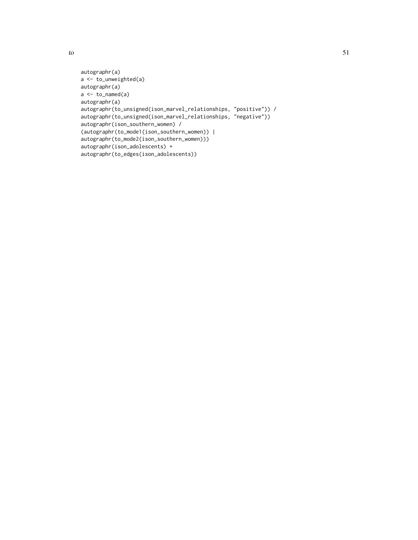```
autographr(a)
a <- to_unweighted(a)
autographr(a)
a \leftarrow to_named(a)
autographr(a)
autographr(to_unsigned(ison_marvel_relationships, "positive")) /
autographr(to_unsigned(ison_marvel_relationships, "negative"))
autographr(ison_southern_women) /
(autographr(to_mode1(ison_southern_women)) |
autographr(to_mode2(ison_southern_women)))
autographr(ison_adolescents) +
autographr(to_edges(ison_adolescents))
```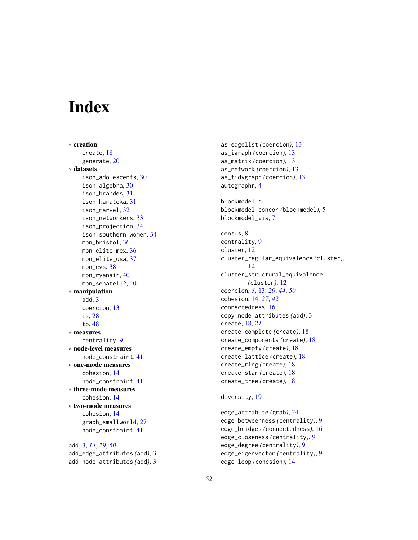# <span id="page-51-0"></span>**Index**

∗ creation create, [18](#page-17-0) generate, [20](#page-19-0) ∗ datasets ison\_adolescents, [30](#page-29-0) ison\_algebra, [30](#page-29-0) ison\_brandes, [31](#page-30-0) ison\_karateka, [31](#page-30-0) ison\_marvel, [32](#page-31-0) ison\_networkers, [33](#page-32-0) ison\_projection, [34](#page-33-0) ison\_southern\_women, [34](#page-33-0) mpn\_bristol, [36](#page-35-0) mpn\_elite\_mex, [36](#page-35-0) mpn\_elite\_usa, [37](#page-36-0) mpn\_evs, [38](#page-37-0) mpn\_ryanair, [40](#page-39-0) mpn\_senate112, [40](#page-39-0) ∗ manipulation add, [3](#page-2-0) coercion, [13](#page-12-0) is, [28](#page-27-0) to, [48](#page-47-0) ∗ measures centrality, [9](#page-8-0) ∗ node-level measures node\_constraint, [41](#page-40-0) ∗ one-mode measures cohesion, [14](#page-13-0) node\_constraint, [41](#page-40-0) ∗ three-mode measures cohesion, [14](#page-13-0) ∗ two-mode measures cohesion, [14](#page-13-0) graph\_smallworld, [27](#page-26-0) node\_constraint, [41](#page-40-0)

add, [3,](#page-2-0) *[14](#page-13-0)*, *[29](#page-28-0)*, *[50](#page-49-0)* add\_edge\_attributes *(*add*)*, [3](#page-2-0) add\_node\_attributes *(*add*)*, [3](#page-2-0)

as\_edgelist *(*coercion*)*, [13](#page-12-0) as\_igraph *(*coercion*)*, [13](#page-12-0) as\_matrix *(*coercion*)*, [13](#page-12-0) as\_network *(*coercion*)*, [13](#page-12-0) as\_tidygraph *(*coercion*)*, [13](#page-12-0) autographr, [4](#page-3-0) blockmodel, [5](#page-4-0) blockmodel\_concor *(*blockmodel*)*, [5](#page-4-0) blockmodel\_vis, [7](#page-6-0) census, [8](#page-7-0) centrality, [9](#page-8-0) cluster, [12](#page-11-0) cluster\_regular\_equivalence *(*cluster*)*, [12](#page-11-0) cluster\_structural\_equivalence *(*cluster*)*, [12](#page-11-0) coercion, *[3](#page-2-0)*, [13,](#page-12-0) *[29](#page-28-0)*, *[44](#page-43-0)*, *[50](#page-49-0)* cohesion, [14,](#page-13-0) *[27](#page-26-0)*, *[42](#page-41-0)* connectedness, [16](#page-15-0) copy\_node\_attributes *(*add*)*, [3](#page-2-0) create, [18,](#page-17-0) *[21](#page-20-0)* create\_complete *(*create*)*, [18](#page-17-0) create\_components *(*create*)*, [18](#page-17-0) create\_empty *(*create*)*, [18](#page-17-0) create\_lattice *(*create*)*, [18](#page-17-0) create\_ring *(*create*)*, [18](#page-17-0) create\_star *(*create*)*, [18](#page-17-0) create\_tree *(*create*)*, [18](#page-17-0)

# diversity, [19](#page-18-0)

edge\_attribute *(*grab*)*, [24](#page-23-0) edge\_betweenness *(*centrality*)*, [9](#page-8-0) edge\_bridges *(*connectedness*)*, [16](#page-15-0) edge\_closeness *(*centrality*)*, [9](#page-8-0) edge\_degree *(*centrality*)*, [9](#page-8-0) edge\_eigenvector *(*centrality*)*, [9](#page-8-0) edge\_loop *(*cohesion*)*, [14](#page-13-0)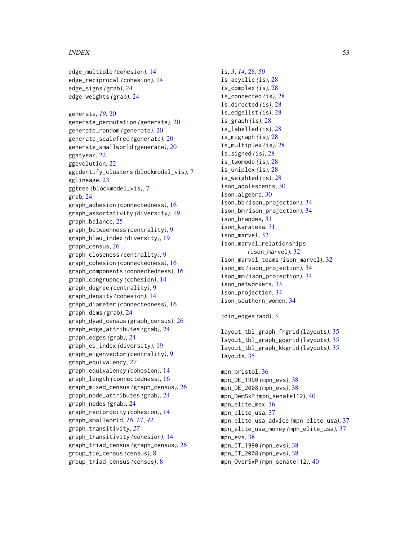#### $I<sub>N</sub>DEX$  53

edge\_multiple *(*cohesion*)*, [14](#page-13-0) edge\_reciprocal *(*cohesion*)*, [14](#page-13-0) edge\_signs *(*grab*)*, [24](#page-23-0) edge\_weights *(*grab*)*, [24](#page-23-0) generate, *[19](#page-18-0)*, [20](#page-19-0) generate\_permutation *(*generate*)*, [20](#page-19-0) generate\_random *(*generate*)*, [20](#page-19-0) generate\_scalefree *(*generate*)*, [20](#page-19-0) generate\_smallworld *(*generate*)*, [20](#page-19-0) ggatyear, [22](#page-21-0) ggevolution, [22](#page-21-0) ggidentify\_clusters *(*blockmodel\_vis*)*, [7](#page-6-0) gglineage, [23](#page-22-0) ggtree *(*blockmodel\_vis*)*, [7](#page-6-0) grab, [24](#page-23-0) graph\_adhesion *(*connectedness*)*, [16](#page-15-0) graph\_assortativity *(*diversity*)*, [19](#page-18-0) graph\_balance, [25](#page-24-0) graph\_betweenness *(*centrality*)*, [9](#page-8-0) graph\_blau\_index *(*diversity*)*, [19](#page-18-0) graph\_census, [26](#page-25-0) graph\_closeness *(*centrality*)*, [9](#page-8-0) graph\_cohesion *(*connectedness*)*, [16](#page-15-0) graph\_components *(*connectedness*)*, [16](#page-15-0) graph\_congruency *(*cohesion*)*, [14](#page-13-0) graph\_degree *(*centrality*)*, [9](#page-8-0) graph\_density *(*cohesion*)*, [14](#page-13-0) graph\_diameter *(*connectedness*)*, [16](#page-15-0) graph\_dims *(*grab*)*, [24](#page-23-0) graph\_dyad\_census *(*graph\_census*)*, [26](#page-25-0) graph\_edge\_attributes *(*grab*)*, [24](#page-23-0) graph\_edges *(*grab*)*, [24](#page-23-0) graph\_ei\_index *(*diversity*)*, [19](#page-18-0) graph\_eigenvector *(*centrality*)*, [9](#page-8-0) graph\_equivalency, *[27](#page-26-0)* graph\_equivalency *(*cohesion*)*, [14](#page-13-0) graph\_length *(*connectedness*)*, [16](#page-15-0) graph\_mixed\_census *(*graph\_census*)*, [26](#page-25-0) graph\_node\_attributes *(*grab*)*, [24](#page-23-0) graph\_nodes *(*grab*)*, [24](#page-23-0) graph\_reciprocity *(*cohesion*)*, [14](#page-13-0) graph\_smallworld, *[16](#page-15-0)*, [27,](#page-26-0) *[42](#page-41-0)* graph\_transitivity, *[27](#page-26-0)* graph\_transitivity *(*cohesion*)*, [14](#page-13-0) graph\_triad\_census *(*graph\_census*)*, [26](#page-25-0) group\_tie\_census *(*census*)*, [8](#page-7-0) group\_triad\_census *(*census*)*, [8](#page-7-0)

is, *[3](#page-2-0)*, *[14](#page-13-0)*, [28,](#page-27-0) *[50](#page-49-0)* is\_acyclic *(*is*)*, [28](#page-27-0) is\_complex *(*is*)*, [28](#page-27-0) is\_connected *(*is*)*, [28](#page-27-0) is\_directed *(*is*)*, [28](#page-27-0) is\_edgelist *(*is*)*, [28](#page-27-0) is\_graph *(*is*)*, [28](#page-27-0) is\_labelled *(*is*)*, [28](#page-27-0) is\_migraph *(*is*)*, [28](#page-27-0) is\_multiplex *(*is*)*, [28](#page-27-0) is\_signed *(*is*)*, [28](#page-27-0) is\_twomode *(*is*)*, [28](#page-27-0) is\_uniplex *(*is*)*, [28](#page-27-0) is\_weighted *(*is*)*, [28](#page-27-0) ison\_adolescents, [30](#page-29-0) ison\_algebra, [30](#page-29-0) ison\_bb *(*ison\_projection*)*, [34](#page-33-0) ison\_bm *(*ison\_projection*)*, [34](#page-33-0) ison\_brandes, [31](#page-30-0) ison\_karateka, [31](#page-30-0) ison\_marvel, [32](#page-31-0) ison\_marvel\_relationships *(*ison\_marvel*)*, [32](#page-31-0) ison\_marvel\_teams *(*ison\_marvel*)*, [32](#page-31-0) ison\_mb *(*ison\_projection*)*, [34](#page-33-0) ison\_mm *(*ison\_projection*)*, [34](#page-33-0) ison\_networkers, [33](#page-32-0) ison\_projection, [34](#page-33-0) ison\_southern\_women, [34](#page-33-0)

join\_edges *(*add*)*, [3](#page-2-0)

layout\_tbl\_graph\_frgrid *(*layouts*)*, [35](#page-34-0) layout\_tbl\_graph\_gogrid *(*layouts*)*, [35](#page-34-0) layout\_tbl\_graph\_kkgrid *(*layouts*)*, [35](#page-34-0) layouts, [35](#page-34-0)

mpn\_bristol, [36](#page-35-0) mpn\_DE\_1990 *(*mpn\_evs*)*, [38](#page-37-0) mpn\_DE\_2008 *(*mpn\_evs*)*, [38](#page-37-0) mpn\_DemSxP *(*mpn\_senate112*)*, [40](#page-39-0) mpn\_elite\_mex, [36](#page-35-0) mpn\_elite\_usa, [37](#page-36-0) mpn\_elite\_usa\_advice *(*mpn\_elite\_usa*)*, [37](#page-36-0) mpn\_elite\_usa\_money *(*mpn\_elite\_usa*)*, [37](#page-36-0) mpn\_evs, [38](#page-37-0) mpn\_IT\_1990 *(*mpn\_evs*)*, [38](#page-37-0) mpn\_IT\_2008 *(*mpn\_evs*)*, [38](#page-37-0) mpn\_OverSxP *(*mpn\_senate112*)*, [40](#page-39-0)